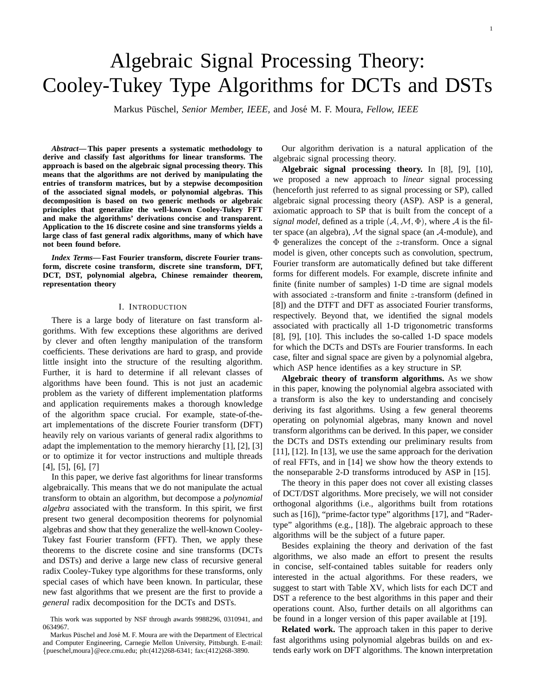# Algebraic Signal Processing Theory: Cooley-Tukey Type Algorithms for DCTs and DSTs

Markus Püschel, Senior Member, IEEE, and José M. F. Moura, Fellow, IEEE

*Abstract***— This paper presents a systematic methodology to derive and classify fast algorithms for linear transforms. The approach is based on the algebraic signal processing theory. This means that the algorithms are not derived by manipulating the entries of transform matrices, but by a stepwise decomposition of the associated signal models, or polynomial algebras. This decomposition is based on two generic methods or algebraic principles that generalize the well-known Cooley-Tukey FFT and make the algorithms' derivations concise and transparent. Application to the 16 discrete cosine and sine transforms yields a large class of fast general radix algorithms, many of which have not been found before.**

*Index Terms***— Fast Fourier transform, discrete Fourier transform, discrete cosine transform, discrete sine transform, DFT, DCT, DST, polynomial algebra, Chinese remainder theorem, representation theory**

## I. INTRODUCTION

There is a large body of literature on fast transform algorithms. With few exceptions these algorithms are derived by clever and often lengthy manipulation of the transform coefficients. These derivations are hard to grasp, and provide little insight into the structure of the resulting algorithm. Further, it is hard to determine if all relevant classes of algorithms have been found. This is not just an academic problem as the variety of different implementation platforms and application requirements makes a thorough knowledge of the algorithm space crucial. For example, state-of-theart implementations of the discrete Fourier transform (DFT) heavily rely on various variants of general radix algorithms to adapt the implementation to the memory hierarchy [1], [2], [3] or to optimize it for vector instructions and multiple threads [4], [5], [6], [7]

In this paper, we derive fast algorithms for linear transforms algebraically. This means that we do not manipulate the actual transform to obtain an algorithm, but decompose a *polynomial algebra* associated with the transform. In this spirit, we first present two general decomposition theorems for polynomial algebras and show that they generalize the well-known Cooley-Tukey fast Fourier transform (FFT). Then, we apply these theorems to the discrete cosine and sine transforms (DCTs and DSTs) and derive a large new class of recursive general radix Cooley-Tukey type algorithms for these transforms, only special cases of which have been known. In particular, these new fast algorithms that we present are the first to provide a *general* radix decomposition for the DCTs and DSTs.

Our algorithm derivation is a natural application of the algebraic signal processing theory.

**Algebraic signal processing theory.** In [8], [9], [10], we proposed a new approach to *linear* signal processing (henceforth just referred to as signal processing or SP), called algebraic signal processing theory (ASP). ASP is a general, axiomatic approach to SP that is built from the concept of a *signal model*, defined as a triple  $(A, \mathcal{M}, \Phi)$ , where A is the filter space (an algebra),  $M$  the signal space (an  $A$ -module), and  $\Phi$  generalizes the concept of the *z*-transform. Once a signal model is given, other concepts such as convolution, spectrum, Fourier transform are automatically defined but take different forms for different models. For example, discrete infinite and finite (finite number of samples) 1-D time are signal models with associated  $z$ -transform and finite  $z$ -transform (defined in [8]) and the DTFT and DFT as associated Fourier transforms, respectively. Beyond that, we identified the signal models associated with practically all 1-D trigonometric transforms [8], [9], [10]. This includes the so-called 1-D space models for which the DCTs and DSTs are Fourier transforms. In each case, filter and signal space are given by a polynomial algebra, which ASP hence identifies as a key structure in SP.

**Algebraic theory of transform algorithms.** As we show in this paper, knowing the polynomial algebra associated with a transform is also the key to understanding and concisely deriving its fast algorithms. Using a few general theorems operating on polynomial algebras, many known and novel transform algorithms can be derived. In this paper, we consider the DCTs and DSTs extending our preliminary results from [11], [12]. In [13], we use the same approach for the derivation of real FFTs, and in [14] we show how the theory extends to the nonseparable 2-D transforms introduced by ASP in [15].

The theory in this paper does not cover all existing classes of DCT/DST algorithms. More precisely, we will not consider orthogonal algorithms (i.e., algorithms built from rotations such as [16]), "prime-factor type" algorithms [17], and "Radertype" algorithms (e.g., [18]). The algebraic approach to these algorithms will be the subject of a future paper.

Besides explaining the theory and derivation of the fast algorithms, we also made an effort to present the results in concise, self-contained tables suitable for readers only interested in the actual algorithms. For these readers, we suggest to start with Table XV, which lists for each DCT and DST a reference to the best algorithms in this paper and their operations count. Also, further details on all algorithms can be found in a longer version of this paper available at [19].

**Related work.** The approach taken in this paper to derive fast algorithms using polynomial algebras builds on and extends early work on DFT algorithms. The known interpretation

This work was supported by NSF through awards 9988296, 0310941, and 0634967.

Markus Püschel and José M. F. Moura are with the Department of Electrical and Computer Engineering, Carnegie Mellon University, Pittsburgh. E-mail: {pueschel,moura}@ece.cmu.edu; ph:(412)268-6341; fax:(412)268-3890.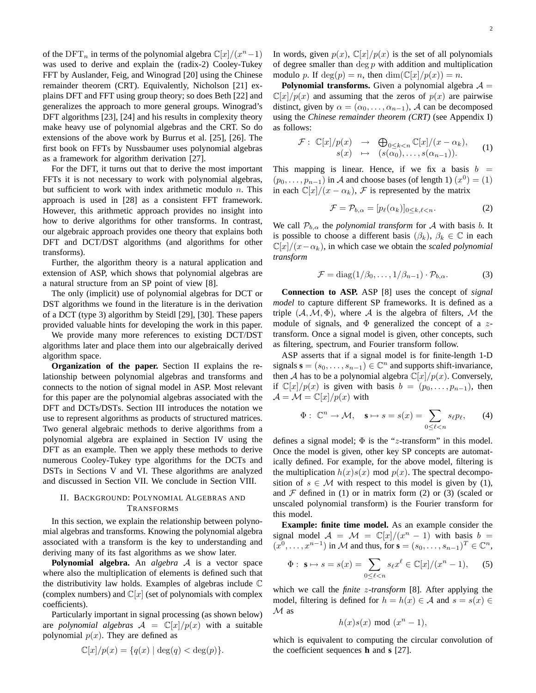of the DFT<sub>n</sub> in terms of the polynomial algebra  $\mathbb{C}[x]/(x^n-1)$ was used to derive and explain the (radix-2) Cooley-Tukey FFT by Auslander, Feig, and Winograd [20] using the Chinese remainder theorem (CRT). Equivalently, Nicholson [21] explains DFT and FFT using group theory; so does Beth [22] and generalizes the approach to more general groups. Winograd's DFT algorithms [23], [24] and his results in complexity theory make heavy use of polynomial algebras and the CRT. So do extensions of the above work by Burrus et al. [25], [26]. The first book on FFTs by Nussbaumer uses polynomial algebras as a framework for algorithm derivation [27].

For the DFT, it turns out that to derive the most important FFTs it is not necessary to work with polynomial algebras, but sufficient to work with index arithmetic modulo  $n$ . This approach is used in [28] as a consistent FFT framework. However, this arithmetic approach provides no insight into how to derive algorithms for other transforms. In contrast, our algebraic approach provides one theory that explains both DFT and DCT/DST algorithms (and algorithms for other transforms).

Further, the algorithm theory is a natural application and extension of ASP, which shows that polynomial algebras are a natural structure from an SP point of view [8].

The only (implicit) use of polynomial algebras for DCT or DST algorithms we found in the literature is in the derivation of a DCT (type 3) algorithm by Steidl [29], [30]. These papers provided valuable hints for developing the work in this paper.

We provide many more references to existing DCT/DST algorithms later and place them into our algebraically derived algorithm space.

**Organization of the paper.** Section II explains the relationship between polynomial algebras and transforms and connects to the notion of signal model in ASP. Most relevant for this paper are the polynomial algebras associated with the DFT and DCTs/DSTs. Section III introduces the notation we use to represent algorithms as products of structured matrices. Two general algebraic methods to derive algorithms from a polynomial algebra are explained in Section IV using the DFT as an example. Then we apply these methods to derive numerous Cooley-Tukey type algorithms for the DCTs and DSTs in Sections V and VI. These algorithms are analyzed and discussed in Section VII. We conclude in Section VIII.

## II. BACKGROUND: POLYNOMIAL ALGEBRAS AND TRANSFORMS

In this section, we explain the relationship between polynomial algebras and transforms. Knowing the polynomial algebra associated with a transform is the key to understanding and deriving many of its fast algorithms as we show later.

**Polynomial algebra.** An *algebra* A is a vector space where also the multiplication of elements is defined such that the distributivity law holds. Examples of algebras include C (complex numbers) and  $\mathbb{C}[x]$  (set of polynomials with complex coefficients).

Particularly important in signal processing (as shown below) are *polynomial algebras*  $A = \mathbb{C}[x]/p(x)$  with a suitable polynomial  $p(x)$ . They are defined as

$$
\mathbb{C}[x]/p(x) = \{q(x) \mid \deg(q) < \deg(p)\}.
$$

In words, given  $p(x)$ ,  $\mathbb{C}[x]/p(x)$  is the set of all polynomials of degree smaller than  $\deg p$  with addition and multiplication modulo p. If  $deg(p) = n$ , then  $dim(\mathbb{C}[x]/p(x)) = n$ .

**Polynomial transforms.** Given a polynomial algebra  $A =$  $\mathbb{C}[x]/p(x)$  and assuming that the zeros of  $p(x)$  are pairwise distinct, given by  $\alpha = (\alpha_0, \dots, \alpha_{n-1})$ , A can be decomposed using the *Chinese remainder theorem (CRT)* (see Appendix I) as follows:

$$
\mathcal{F}: \mathbb{C}[x]/p(x) \rightarrow \bigoplus_{0 \leq k < n} \mathbb{C}[x]/(x - \alpha_k),
$$
\n
$$
s(x) \rightarrow (s(\alpha_0), \ldots, s(\alpha_{n-1})). \tag{1}
$$

This mapping is linear. Hence, if we fix a basis  $b =$  $(p_0, \ldots, p_{n-1})$  in A and choose bases (of length 1)  $(x^0) = (1)$ in each  $\mathbb{C}[x]/(x - \alpha_k)$ , *F* is represented by the matrix

$$
\mathcal{F} = \mathcal{P}_{b,\alpha} = [p_{\ell}(\alpha_k)]_{0 \le k,\ell < n}.\tag{2}
$$

We call  $P_{b,\alpha}$  the *polynomial transform* for A with basis b. It is possible to choose a different basis  $(\beta_k)$ ,  $\beta_k \in \mathbb{C}$  in each  $\mathbb{C}[x]/(x-\alpha_k)$ , in which case we obtain the *scaled polynomial transform*

$$
\mathcal{F} = \text{diag}(1/\beta_0, \dots, 1/\beta_{n-1}) \cdot \mathcal{P}_{b,\alpha}.
$$
 (3)

**Connection to ASP.** ASP [8] uses the concept of *signal model* to capture different SP frameworks. It is defined as a triple  $(A, M, \Phi)$ , where A is the algebra of filters, M the module of signals, and  $\Phi$  generalized the concept of a ztransform. Once a signal model is given, other concepts, such as filtering, spectrum, and Fourier transform follow.

ASP asserts that if a signal model is for finite-length 1-D signals  $\mathbf{s} = (s_0, \dots, s_{n-1}) \in \mathbb{C}^n$  and supports shift-invariance, then A has to be a polynomial algebra  $\mathbb{C}[x]/p(x)$ . Conversely, if  $\mathbb{C}[x]/p(x)$  is given with basis  $b = (p_0, \ldots, p_{n-1})$ , then  $\mathcal{A} = \mathcal{M} = \mathbb{C}[x]/p(x)$  with

$$
\Phi: \ \mathbb{C}^n \to \mathcal{M}, \quad \mathbf{s} \mapsto s = s(x) = \sum_{0 \le \ell < n} s_\ell p_\ell, \qquad (4)
$$

defines a signal model;  $\Phi$  is the "z-transform" in this model. Once the model is given, other key SP concepts are automatically defined. For example, for the above model, filtering is the multiplication  $h(x)s(x) \mod p(x)$ . The spectral decomposition of  $s \in \mathcal{M}$  with respect to this model is given by (1), and  $\mathcal F$  defined in (1) or in matrix form (2) or (3) (scaled or unscaled polynomial transform) is the Fourier transform for this model.

**Example: finite time model.** As an example consider the signal model  $A = \mathcal{M} = \mathbb{C}[x]/(x^n - 1)$  with basis  $b =$  $(x^0, \ldots, x^{n-1})$  in M and thus, for  $\mathbf{s} = (s_0, \ldots, s_{n-1})^T \in \mathbb{C}^n$ ,

$$
\Phi: \mathbf{s} \mapsto s = s(x) = \sum_{0 \le \ell < n} s_\ell x^\ell \in \mathbb{C}[x]/(x^n - 1), \quad (5)
$$

which we call the *finite* z*-transform* [8]. After applying the model, filtering is defined for  $h = h(x) \in A$  and  $s = s(x) \in A$  $M$  as

$$
h(x)s(x) \bmod (x^n-1),
$$

which is equivalent to computing the circular convolution of the coefficient sequences **h** and **s** [27].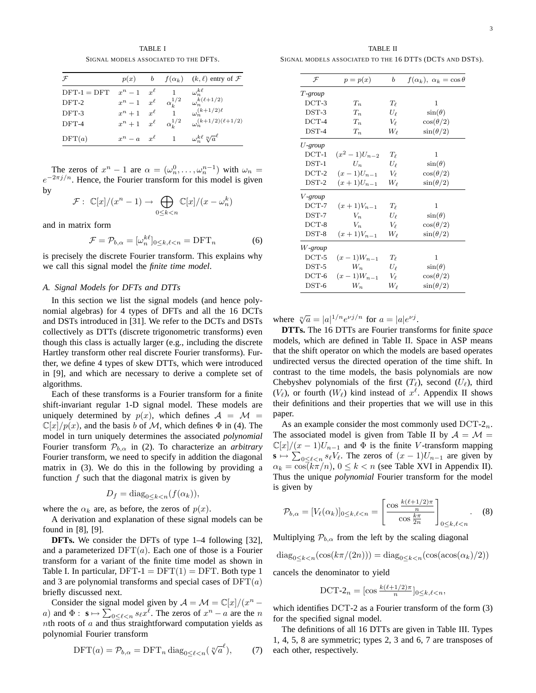TABLE I SIGNAL MODELS ASSOCIATED TO THE DFTS.

| $\mathcal{F}$ | p(x)                     | b          |                  | $f(\alpha_k)$ $(k, \ell)$ entry of $\mathcal F$ |
|---------------|--------------------------|------------|------------------|-------------------------------------------------|
| $DFT-1 = DFT$ | $x^n-1$ $x^{\ell}$       |            |                  | $\omega_n^{k\ell}$                              |
| $DFT-2$       | $x^n-1$                  | $x^{\ell}$ | $\alpha_k^{1/2}$ | $\omega_n^{k(\ell+1/2)}$                        |
| $DFT-3$       | $x^n + 1$ $x^{\ell}$     |            |                  | $\omega_n^{(k+1/2)\ell}$                        |
| DFT-4         | $x^n + 1 \quad x^{\ell}$ |            | $\alpha_k^{1/2}$ | $\omega_n^{(k+1/2)(\ell+1/2)}$                  |
| DFT(a)        | $x^n - a \quad x^{\ell}$ |            |                  | $\omega_n^{k\ell} \sqrt[n]{a}^{\ell}$           |

The zeros of  $x^n - 1$  are  $\alpha = (\omega_n^0, \dots, \omega_n^{n-1})$  with  $\omega_n =$  $e^{-2\pi j/n}$ . Hence, the Fourier transform for this model is given by

$$
\mathcal{F}: \ \mathbb{C}[x]/(x^n-1) \to \bigoplus_{0 \le k < n} \mathbb{C}[x]/(x - \omega_n^k)
$$

and in matrix form

$$
\mathcal{F} = \mathcal{P}_{b,\alpha} = [\omega_n^{k\ell}]_{0 \le k,\ell < n} = \text{DFT}_n \tag{6}
$$

is precisely the discrete Fourier transform. This explains why we call this signal model the *finite time model*.

## *A. Signal Models for DFTs and DTTs*

In this section we list the signal models (and hence polynomial algebras) for 4 types of DFTs and all the 16 DCTs and DSTs introduced in [31]. We refer to the DCTs and DSTs collectively as DTTs (discrete trigonometric transforms) even though this class is actually larger (e.g., including the discrete Hartley transform other real discrete Fourier transforms). Further, we define 4 types of skew DTTs, which were introduced in [9], and which are necessary to derive a complete set of algorithms.

Each of these transforms is a Fourier transform for a finite shift-invariant regular 1-D signal model. These models are uniquely determined by  $p(x)$ , which defines  $A = M$  $\mathbb{C}[x]/p(x)$ , and the basis b of M, which defines  $\Phi$  in (4). The model in turn uniquely determines the associated *polynomial* Fourier transform  $\mathcal{P}_{b,\alpha}$  in (2). To characterize an *arbitrary* Fourier transform, we need to specify in addition the diagonal matrix in (3). We do this in the following by providing a function  $f$  such that the diagonal matrix is given by

$$
D_f = \text{diag}_{0 \le k < n} (f(\alpha_k)),
$$

where the  $\alpha_k$  are, as before, the zeros of  $p(x)$ .

A derivation and explanation of these signal models can be found in [8], [9].

**DFTs.** We consider the DFTs of type 1–4 following [32], and a parameterized  $DFT(a)$ . Each one of those is a Fourier transform for a variant of the finite time model as shown in Table I. In particular,  $DFT-1 = DFT(1) = DFT$ . Both type 1 and 3 are polynomial transforms and special cases of  $DFT(a)$ briefly discussed next.

Consider the signal model given by  $A = \mathcal{M} = \mathbb{C}[x]/(x^n$ a) and  $\Phi$  :  $\mathbf{s} \mapsto \sum_{0 \leq \ell < n} s_{\ell} x^{\ell}$ . The zeros of  $x^{n} - a$  are the n nth roots of  $a$  and thus straightforward computation yields as polynomial Fourier transform

$$
\text{DFT}(a) = \mathcal{P}_{b,\alpha} = \text{DFT}_n \operatorname{diag}_{0 \le \ell < n} \left( \sqrt[n]{a}^{\ell} \right),\tag{7}
$$

TABLE II SIGNAL MODELS ASSOCIATED TO THE 16 DTTS (DCTS AND DSTS).

| $\mathcal{F}$           | $p = p(x)$       | b          | $f(\alpha_k)$ , $\alpha_k = \cos \theta$ |
|-------------------------|------------------|------------|------------------------------------------|
| $T$ -group              |                  |            |                                          |
| $DCT-3$                 | $T_n$            | $T_{\ell}$ | 1                                        |
| $DST-3$                 | $T_n$            | $U_{\ell}$ | $\sin(\theta)$                           |
| $DCT-4$                 | $T_n$            | $V_{\ell}$ | $\cos(\theta/2)$                         |
| $DST-4$                 | $T_n$            | $W_{\ell}$ | $\sin(\theta/2)$                         |
| $U$ -group              |                  |            |                                          |
| $DCT-1$                 | $(x^2-1)U_{n-2}$ | $T_{\ell}$ | 1                                        |
| $DST-1$                 | $U_n$            | $U_{\ell}$ | $\sin(\theta)$                           |
| $DCT-2$                 | $(x-1)U_{n-1}$   | $V_{\ell}$ | $\cos(\theta/2)$                         |
| $DST-2$                 | $(x+1)U_{n-1}$   | $W_{\ell}$ | $\sin(\theta/2)$                         |
| V-group                 |                  |            |                                          |
| $DCT-7$                 | $(x+1)V_{n-1}$   | $T_{\ell}$ | 1                                        |
| $DST-7$                 | $V_n$            | $U_{\ell}$ | $\sin(\theta)$                           |
| $DCT-8$                 | $V_n$            | $V_{\ell}$ | $\cos(\theta/2)$                         |
| $DST-8$                 | $(x+1)V_{n-1}$   | $W_{\ell}$ | $\sin(\theta/2)$                         |
| $W$ -group              |                  |            |                                          |
| $DCT-5$                 | $(x-1)W_{n-1}$   | $T_{\ell}$ | 1                                        |
| $\mathrm{DST}\text{-}5$ | $W_n$            | $U_{\ell}$ | $\sin(\theta)$                           |
| $\rm DCT$ -6            | $(x-1)W_{n-1}$   | $V_{\ell}$ | $\cos(\theta/2)$                         |
| $DST-6$                 | $W_n$            | $W_{\ell}$ | $\sin(\theta/2)$                         |

where  $\sqrt[n]{a} = |a|^{1/n} e^{\nu j/n}$  for  $a = |a| e^{\nu j}$ .

**DTTs.** The 16 DTTs are Fourier transforms for finite *space* models, which are defined in Table II. Space in ASP means that the shift operator on which the models are based operates undirected versus the directed operation of the time shift. In contrast to the time models, the basis polynomials are now Chebyshev polynomials of the first  $(T_\ell)$ , second  $(U_\ell)$ , third  $(V_{\ell})$ , or fourth  $(W_{\ell})$  kind instead of  $x^{\ell}$ . Appendix II shows their definitions and their properties that we will use in this paper.

As an example consider the most commonly used  $DCT-2<sub>n</sub>$ . The associated model is given from Table II by  $A = \mathcal{M}$  =  $\mathbb{C}[x]/(x-1)U_{n-1}$  and  $\Phi$  is the finite V-transform mapping  $\mathbf{s} \mapsto \sum_{0 \leq \ell < n} s_{\ell} V_{\ell}$ . The zeros of  $(x - 1)U_{n-1}$  are given by  $\alpha_k = \cos(k\pi/n), 0 \le k < n$  (see Table XVI in Appendix II). Thus the unique *polynomial* Fourier transform for the model is given by

$$
\mathcal{P}_{b,\alpha} = [V_{\ell}(\alpha_k)]_{0 \le k,\ell < n} = \left[\frac{\cos \frac{k(\ell+1/2)\pi}{n}}{\cos \frac{k\pi}{2n}}\right]_{0 \le k,\ell < n}.\tag{8}
$$

Multiplying  $\mathcal{P}_{b,\alpha}$  from the left by the scaling diagonal

 $\operatorname{diag}_{0 \leq k \leq n}(\cos(k\pi/(2n))) = \operatorname{diag}_{0 \leq k \leq n}(\cos(\alpha \cos(\alpha_k)/2))$ 

cancels the denominator to yield

$$
\text{DCT-2}_n = [\cos \frac{k(\ell+1/2)\pi}{n}]_{0 \le k,\ell < n},
$$

which identifies DCT-2 as a Fourier transform of the form (3) for the specified signal model.

The definitions of all 16 DTTs are given in Table III. Types 1, 4, 5, 8 are symmetric; types 2, 3 and 6, 7 are transposes of each other, respectively.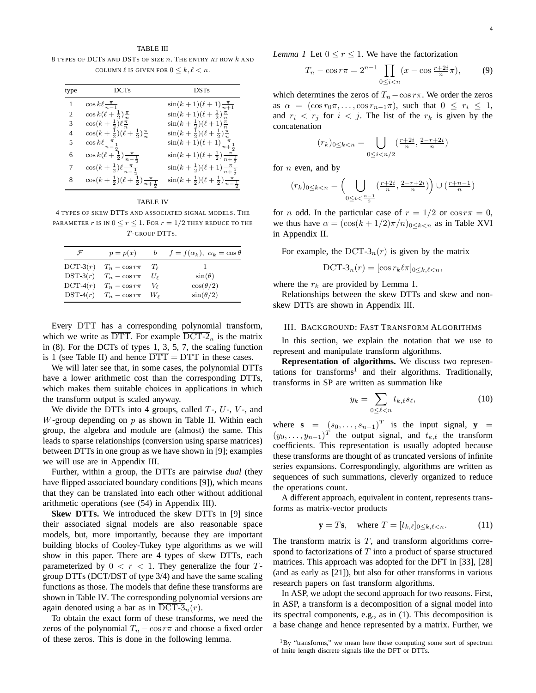TABLE III 8 TYPES OF DCTS AND DSTS OF SIZE  $n$ . The ENTRY AT ROW  $k$  and COLUMN  $\ell$  is given for  $0 \leq k, \ell \leq n$ .

| type           | <b>DCTs</b>                                                      | <b>DSTs</b>                                                      |
|----------------|------------------------------------------------------------------|------------------------------------------------------------------|
| 1              | $\cos k\ell \frac{\pi}{n-1}$                                     | $\sin(k+1)(\ell+1)\frac{\pi}{n+1}$                               |
| $\mathfrak{D}$ | $\cos k(\ell + \frac{1}{2})\frac{\pi}{n}$                        | $\sin(k+1)(\ell+\frac{1}{2})\frac{\pi}{n}$                       |
| 3              | $\cos(k+\frac{1}{2})\ell \frac{\pi}{n}$                          | $\sin(k+\frac{1}{2})(\ell+1)\frac{\pi}{n}$                       |
| 4              | $\cos(k+\frac{1}{2})(\ell+\frac{1}{2})\frac{\pi}{n}$             | $\sin(k+\frac{1}{2})(\ell+\frac{1}{2})\frac{\pi}{n}$             |
| 5              | $\cos k\ell \frac{\pi}{n-\frac{1}{2}}$                           | $\sin(k+1)(\ell+1)\frac{\pi}{n+\frac{1}{2}}$                     |
| 6              | $\cos k(\ell + \frac{1}{2})\frac{\pi}{n-\frac{1}{2}}$            | $\sin(k+1)(\ell+\frac{1}{2})\frac{\pi}{n+\frac{1}{2}}$           |
| 7              | $\cos(k+\frac{1}{2})\ell \frac{\pi}{n-\frac{1}{2}}$              | $\sin(k+\frac{1}{2})(\ell+1)\frac{\pi}{n+\frac{1}{2}}$           |
| 8              | $\cos(k+\frac{1}{2})(\ell+\frac{1}{2})\frac{\pi}{n+\frac{1}{2}}$ | $\sin(k+\frac{1}{2})(\ell+\frac{1}{2})\frac{\pi}{n-\frac{1}{2}}$ |

TABLE IV

4 TYPES OF SKEW DTTS AND ASSOCIATED SIGNAL MODELS. THE PARAMETER r IS IN  $0 \le r \le 1$ . For  $r = 1/2$  they reduce to the T -GROUP DTTS.

| $\mathcal{F}$ | $p = p(x)$                    |                | b $f = f(\alpha_k)$ , $\alpha_k = \cos \theta$ |
|---------------|-------------------------------|----------------|------------------------------------------------|
|               | DCT-3 $(r)$ $T_n - \cos r\pi$ | $T_{\ell}$     |                                                |
|               | DST-3 $(r)$ $T_n - \cos r\pi$ | $U_{\ell}$     | $\sin(\theta)$                                 |
|               | DCT-4 $(r)$ $T_n - \cos r\pi$ | $V_{\ell}$     | $\cos(\theta/2)$                               |
|               | DST-4 $(r)$ $T_n - \cos r\pi$ | W <sub>o</sub> | $\sin(\theta/2)$                               |
|               |                               |                |                                                |

Every DTT has a corresponding polynomial transform, which we write as  $\overline{DTT}$ . For example  $\overline{DCT-2}_n$  is the matrix in (8). For the DCTs of types 1, 3, 5, 7, the scaling function is 1 (see Table II) and hence  $\overline{DTT} = DTT$  in these cases.

We will later see that, in some cases, the polynomial DTTs have a lower arithmetic cost than the corresponding DTTs, which makes them suitable choices in applications in which the transform output is scaled anyway.

We divide the DTTs into 4 groups, called  $T<sub>-</sub>, U<sub>-</sub>, V<sub>-</sub>$ , and W-group depending on  $p$  as shown in Table II. Within each group, the algebra and module are (almost) the same. This leads to sparse relationships (conversion using sparse matrices) between DTTs in one group as we have shown in [9]; examples we will use are in Appendix III.

Further, within a group, the DTTs are pairwise *dual* (they have flipped associated boundary conditions [9]), which means that they can be translated into each other without additional arithmetic operations (see (54) in Appendix III).

**Skew DTTs.** We introduced the skew DTTs in [9] since their associated signal models are also reasonable space models, but, more importantly, because they are important building blocks of Cooley-Tukey type algorithms as we will show in this paper. There are 4 types of skew DTTs, each parameterized by  $0 < r < 1$ . They generalize the four Tgroup DTTs (DCT/DST of type 3/4) and have the same scaling functions as those. The models that define these transforms are shown in Table IV. The corresponding polynomial versions are again denoted using a bar as in DCT-3<sub>n</sub> $(r)$ .

To obtain the exact form of these transforms, we need the zeros of the polynomial  $T_n - \cos r\pi$  and choose a fixed order of these zeros. This is done in the following lemma.

*Lemma 1* Let  $0 \le r \le 1$ . We have the factorization

$$
T_n - \cos r\pi = 2^{n-1} \prod_{0 \le i < n} (x - \cos \frac{r+2i}{n}\pi),\tag{9}
$$

which determines the zeros of  $T_n$  − cos  $r\pi$ . We order the zeros as  $\alpha = (\cos r_0 \pi, \ldots, \cos r_{n-1} \pi)$ , such that  $0 \leq r_i \leq 1$ , and  $r_i \, \langle r_j \rangle$  for  $i \, \langle j \rangle$ . The list of the  $r_k$  is given by the concatenation

$$
(r_k)_{0 \le k < n} = \bigcup_{0 \le i < n/2} \left( \frac{r+2i}{n}, \frac{2-r+2i}{n} \right)
$$

for  $n$  even, and by

$$
(r_k)_{0 \leq k < n} = \left( \bigcup_{0 \leq i < \frac{n-1}{2}} \left( \frac{r+2i}{n}, \frac{2-r+2i}{n} \right) \right) \cup \left( \frac{r+n-1}{n} \right)
$$

for *n* odd. In the particular case of  $r = 1/2$  or  $\cos r\pi = 0$ , we thus have  $\alpha = (\cos((k+1/2)\pi/n))_{0 \leq k < n}$  as in Table XVI in Appendix II.

For example, the DCT-3<sub>n</sub> $(r)$  is given by the matrix

$$
\text{DCT-3}_n(r) = [\cos r_k \ell \pi]_{0 \leq k, \ell < n},
$$

where the  $r_k$  are provided by Lemma 1.

Relationships between the skew DTTs and skew and nonskew DTTs are shown in Appendix III.

## III. BACKGROUND: FAST TRANSFORM ALGORITHMS

In this section, we explain the notation that we use to represent and manipulate transform algorithms.

**Representation of algorithms.** We discuss two representations for transforms<sup>1</sup> and their algorithms. Traditionally, transforms in SP are written as summation like

$$
y_k = \sum_{0 \le \ell < n} t_{k,\ell} s_\ell,\tag{10}
$$

where  $\mathbf{s} = (s_0, \dots, s_{n-1})^T$  is the input signal,  $\mathbf{y} =$  $(y_0, \ldots, y_{n-1})^T$  the output signal, and  $t_{k,\ell}$  the transform coefficients. This representation is usually adopted because these transforms are thought of as truncated versions of infinite series expansions. Correspondingly, algorithms are written as sequences of such summations, cleverly organized to reduce the operations count.

A different approach, equivalent in content, represents transforms as matrix-vector products

$$
\mathbf{y} = T\mathbf{s}, \quad \text{where } T = [t_{k,\ell}]_{0 \le k,\ell < n}.\tag{11}
$$

The transform matrix is  $T$ , and transform algorithms correspond to factorizations of  $T$  into a product of sparse structured matrices. This approach was adopted for the DFT in [33], [28] (and as early as [21]), but also for other transforms in various research papers on fast transform algorithms.

In ASP, we adopt the second approach for two reasons. First, in ASP, a transform is a decomposition of a signal model into its spectral components, e.g., as in (1). This decomposition is a base change and hence represented by a matrix. Further, we

 $1_{\rm BV}$  "transforms," we mean here those computing some sort of spectrum of finite length discrete signals like the DFT or DTTs.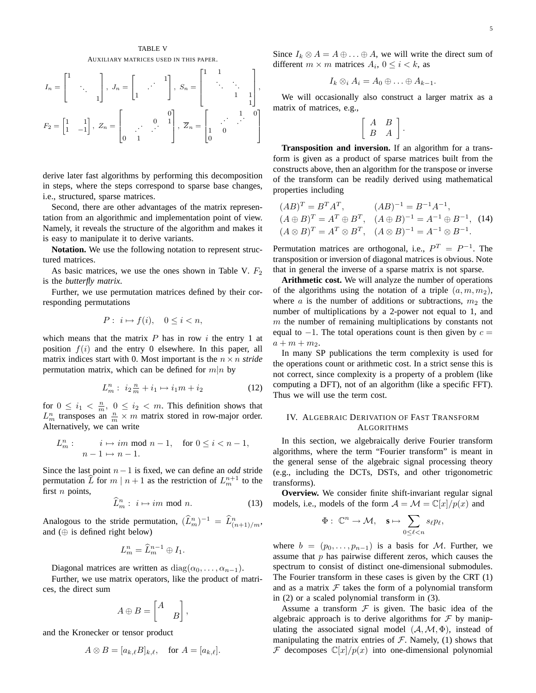## TABLE V AUXILIARY MATRICES USED IN THIS PAPER.

$$
I_n = \begin{bmatrix} 1 & & & \\ & \ddots & & \\ & & 1 \end{bmatrix}, J_n = \begin{bmatrix} & & & 1 \\ 1 & & & \\ & & \ddots & \\ 1 & & & 1 \end{bmatrix}, S_n = \begin{bmatrix} 1 & 1 & & & \\ & \ddots & \ddots & & \\ & & 1 & 1 & \\ & & & 1 \end{bmatrix},
$$

$$
F_2 = \begin{bmatrix} 1 & & 1 \\ 1 & -1 \end{bmatrix}, Z_n = \begin{bmatrix} 0 & 0 & 1 \\ & \ddots & 1 & \\ 0 & 1 & 0 \end{bmatrix}, \overline{Z}_n = \begin{bmatrix} 1 & 0 & 0 \\ 1 & 0 & \cdots \\ 0 & 0 & 0 \end{bmatrix}
$$

derive later fast algorithms by performing this decomposition in steps, where the steps correspond to sparse base changes, i.e., structured, sparse matrices.

Second, there are other advantages of the matrix representation from an algorithmic and implementation point of view. Namely, it reveals the structure of the algorithm and makes it is easy to manipulate it to derive variants.

**Notation.** We use the following notation to represent structured matrices.

As basic matrices, we use the ones shown in Table V.  $F_2$ is the *butterfly matrix*.

Further, we use permutation matrices defined by their corresponding permutations

$$
P: i \mapsto f(i), \quad 0 \le i < n,
$$

which means that the matrix  $P$  has in row i the entry 1 at position  $f(i)$  and the entry 0 elsewhere. In this paper, all matrix indices start with 0. Most important is the  $n \times n$  *stride* permutation matrix, which can be defined for  $m|n$  by

$$
L_m^n: i_2 \frac{n}{m} + i_1 \mapsto i_1 m + i_2 \tag{12}
$$

for  $0 \leq i_1 < \frac{n}{m}$ ,  $0 \leq i_2 < m$ . This definition shows that  $L_m^n$  transposes an  $\frac{n}{m} \times m$  matrix stored in row-major order. Alternatively, we can write

$$
L_m^n: \t i \mapsto im \text{ mod } n-1, \text{ for } 0 \le i < n-1,
$$
  

$$
n-1 \mapsto n-1.
$$

Since the last point n−1 is fixed, we can define an *odd* stride permutation  $\widehat{L}$  for  $m | n + 1$  as the restriction of  $L_m^{n+1}$  to the first  $n$  points,

$$
\widehat{L}_m^n : i \mapsto im \bmod n. \tag{13}
$$

Analogous to the stride permutation,  $(\tilde{L}_m^n)^{-1} = \tilde{L}_{(n+1)/m}^n$ , and  $(\oplus$  is defined right below)

$$
L_m^n = \widehat{L}_m^{n-1} \oplus I_1.
$$

Diagonal matrices are written as  $diag(\alpha_0, \ldots, \alpha_{n-1})$ .

Further, we use matrix operators, like the product of matrices, the direct sum

$$
A \oplus B = \begin{bmatrix} A & \\ & B \end{bmatrix},
$$

and the Kronecker or tensor product

$$
A \otimes B = [a_{k,\ell}B]_{k,\ell}, \quad \text{for } A = [a_{k,\ell}].
$$

Since  $I_k \otimes A = A \oplus \ldots \oplus A$ , we will write the direct sum of different  $m \times m$  matrices  $A_i$ ,  $0 \le i \lt k$ , as

$$
I_k \otimes_i A_i = A_0 \oplus \ldots \oplus A_{k-1}.
$$

We will occasionally also construct a larger matrix as a matrix of matrices, e.g.,

$$
\left[\begin{array}{cc} A & B \\ B & A \end{array}\right].
$$

**Transposition and inversion.** If an algorithm for a transform is given as a product of sparse matrices built from the constructs above, then an algorithm for the transpose or inverse of the transform can be readily derived using mathematical properties including

$$
(AB)^{T} = B^{T}A^{T}, \qquad (AB)^{-1} = B^{-1}A^{-1},
$$
  
\n
$$
(A \oplus B)^{T} = A^{T} \oplus B^{T}, \quad (A \oplus B)^{-1} = A^{-1} \oplus B^{-1}, \quad (14)
$$
  
\n
$$
(A \otimes B)^{T} = A^{T} \otimes B^{T}, \quad (A \otimes B)^{-1} = A^{-1} \otimes B^{-1}.
$$

Permutation matrices are orthogonal, i.e.,  $P^T = P^{-1}$ . The transposition or inversion of diagonal matrices is obvious. Note that in general the inverse of a sparse matrix is not sparse.

**Arithmetic cost.** We will analyze the number of operations of the algorithms using the notation of a triple  $(a, m, m_2)$ , where a is the number of additions or subtractions,  $m_2$  the number of multiplications by a 2-power not equal to 1, and  $m$  the number of remaining multiplications by constants not equal to  $-1$ . The total operations count is then given by  $c =$  $a+m+m_2.$ 

In many SP publications the term complexity is used for the operations count or arithmetic cost. In a strict sense this is not correct, since complexity is a property of a problem (like computing a DFT), not of an algorithm (like a specific FFT). Thus we will use the term cost.

## IV. ALGEBRAIC DERIVATION OF FAST TRANSFORM **ALGORITHMS**

In this section, we algebraically derive Fourier transform algorithms, where the term "Fourier transform" is meant in the general sense of the algebraic signal processing theory (e.g., including the DCTs, DSTs, and other trigonometric transforms).

**Overview.** We consider finite shift-invariant regular signal models, i.e., models of the form  $A = \mathcal{M} = \mathbb{C}[x]/p(x)$  and

$$
\Phi: \ \mathbb{C}^n \to \mathcal{M}, \quad \mathbf{s} \mapsto \sum_{0 \leq \ell < n} s_{\ell} p_{\ell},
$$

where  $b = (p_0, \ldots, p_{n-1})$  is a basis for M. Further, we assume that  $p$  has pairwise different zeros, which causes the spectrum to consist of distinct one-dimensional submodules. The Fourier transform in these cases is given by the CRT (1) and as a matrix  $F$  takes the form of a polynomial transform in (2) or a scaled polynomial transform in (3).

Assume a transform  $\mathcal F$  is given. The basic idea of the algebraic approach is to derive algorithms for  $\mathcal F$  by manipulating the associated signal model  $(A, \mathcal{M}, \Phi)$ , instead of manipulating the matrix entries of  $F$ . Namely, (1) shows that  $\mathcal F$  decomposes  $\mathbb C[x]/p(x)$  into one-dimensional polynomial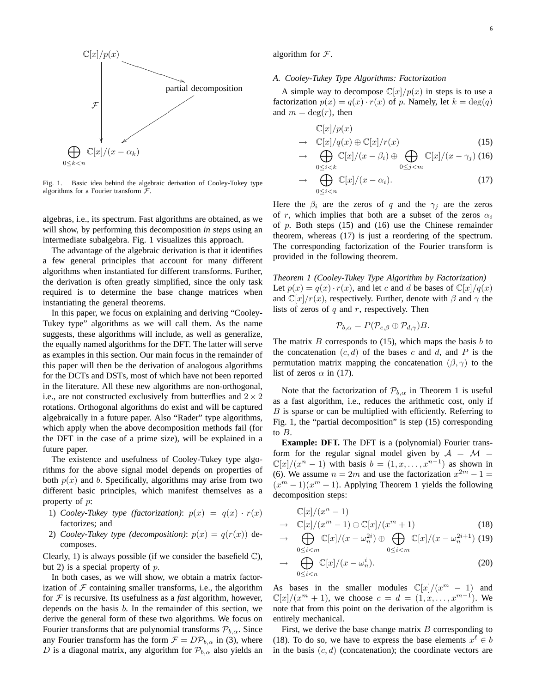

Fig. 1. Basic idea behind the algebraic derivation of Cooley-Tukey type algorithms for a Fourier transform  $\mathcal{F}.$ 

algebras, i.e., its spectrum. Fast algorithms are obtained, as we will show, by performing this decomposition *in steps* using an intermediate subalgebra. Fig. 1 visualizes this approach.

The advantage of the algebraic derivation is that it identifies a few general principles that account for many different algorithms when instantiated for different transforms. Further, the derivation is often greatly simplified, since the only task required is to determine the base change matrices when instantiating the general theorems.

In this paper, we focus on explaining and deriving "Cooley-Tukey type" algorithms as we will call them. As the name suggests, these algorithms will include, as well as generalize, the equally named algorithms for the DFT. The latter will serve as examples in this section. Our main focus in the remainder of this paper will then be the derivation of analogous algorithms for the DCTs and DSTs, most of which have not been reported in the literature. All these new algorithms are non-orthogonal, i.e., are not constructed exclusively from butterflies and  $2 \times 2$ rotations. Orthogonal algorithms do exist and will be captured algebraically in a future paper. Also "Rader" type algorithms, which apply when the above decomposition methods fail (for the DFT in the case of a prime size), will be explained in a future paper.

The existence and usefulness of Cooley-Tukey type algorithms for the above signal model depends on properties of both  $p(x)$  and b. Specifically, algorithms may arise from two different basic principles, which manifest themselves as a property of p:

- 1) *Cooley-Tukey type (factorization)*:  $p(x) = q(x) \cdot r(x)$ factorizes; and
- 2) *Cooley-Tukey type (decomposition)*:  $p(x) = q(r(x))$  decomposes.

Clearly, 1) is always possible (if we consider the basefield  $\mathbb{C}$ ), but 2) is a special property of  $p$ .

In both cases, as we will show, we obtain a matrix factorization of  $F$  containing smaller transforms, i.e., the algorithm for  $F$  is recursive. Its usefulness as a *fast* algorithm, however, depends on the basis b. In the remainder of this section, we derive the general form of these two algorithms. We focus on Fourier transforms that are polynomial transforms  $P_{b,\alpha}$ . Since any Fourier transform has the form  $\mathcal{F} = D\mathcal{P}_{b,\alpha}$  in (3), where D is a diagonal matrix, any algorithm for  $\mathcal{P}_{b,\alpha}$  also yields an algorithm for  $\mathcal{F}$ .

## *A. Cooley-Tukey Type Algorithms: Factorization*

A simple way to decompose  $\mathbb{C}[x]/p(x)$  in steps is to use a factorization  $p(x) = q(x) \cdot r(x)$  of p. Namely, let  $k = \deg(q)$ and  $m = \deg(r)$ , then

$$
\mathbb{C}[x]/p(x) \longrightarrow \mathbb{C}[x]/q(x) \oplus \mathbb{C}[x]/r(x) \tag{15}
$$

$$
\rightarrow \bigoplus_{0 \le i < k} \mathbb{C}[x]/(x - \beta_i) \oplus \bigoplus_{0 \le j < m} \mathbb{C}[x]/(x - \gamma_j) \tag{16}
$$

$$
\rightarrow \bigoplus_{0 \le i < n} \mathbb{C}[x]/(x - \alpha_i). \tag{17}
$$

Here the  $\beta_i$  are the zeros of q and the  $\gamma_i$  are the zeros of r, which implies that both are a subset of the zeros  $\alpha_i$ of  $p$ . Both steps (15) and (16) use the Chinese remainder theorem, whereas (17) is just a reordering of the spectrum. The corresponding factorization of the Fourier transform is provided in the following theorem.

*Theorem 1 (Cooley-Tukey Type Algorithm by Factorization)* Let  $p(x) = q(x) \cdot r(x)$ , and let c and d be bases of  $\mathbb{C}[x]/q(x)$ and  $\mathbb{C}[x]/r(x)$ , respectively. Further, denote with  $\beta$  and  $\gamma$  the lists of zeros of q and r, respectively. Then

$$
\mathcal{P}_{b,\alpha} = P(\mathcal{P}_{c,\beta} \oplus \mathcal{P}_{d,\gamma})B.
$$

The matrix  $B$  corresponds to (15), which maps the basis  $b$  to the concatenation  $(c, d)$  of the bases c and d, and P is the permutation matrix mapping the concatenation  $(\beta, \gamma)$  to the list of zeros  $\alpha$  in (17).

Note that the factorization of  $\mathcal{P}_{b,\alpha}$  in Theorem 1 is useful as a fast algorithm, i.e., reduces the arithmetic cost, only if  $B$  is sparse or can be multiplied with efficiently. Referring to Fig. 1, the "partial decomposition" is step (15) corresponding to B.

**Example: DFT.** The DFT is a (polynomial) Fourier transform for the regular signal model given by  $A = M$  $\mathbb{C}[x]/(x^n-1)$  with basis  $b=(1,x,\ldots,x^{n-1})$  as shown in (6). We assume  $n = 2m$  and use the factorization  $x^{2m} - 1 =$  $(x^m - 1)(x^m + 1)$ . Applying Theorem 1 yields the following decomposition steps:

$$
\mathbb{C}[x]/(x^n - 1)
$$
  
\n
$$
\rightarrow \mathbb{C}[x]/(x^m - 1) \oplus \mathbb{C}[x]/(x^m + 1)
$$
\n(18)

$$
\rightarrow \bigoplus_{0 \le i < m} \mathbb{C}[x]/(x - \omega_n^{2i}) \oplus \bigoplus_{0 \le i < m} \mathbb{C}[x]/(x - \omega_n^{2i+1}) \tag{19}
$$

$$
\rightarrow \bigoplus_{0 \le i < n} \mathbb{C}[x]/(x - \omega_n^i). \tag{20}
$$

As bases in the smaller modules  $\mathbb{C}[x]/(x^m - 1)$  and  $\mathbb{C}[x]/(x^m + 1)$ , we choose  $c = d = (1, x, \dots, x^{m-1})$ . We note that from this point on the derivation of the algorithm is entirely mechanical.

First, we derive the base change matrix  $B$  corresponding to (18). To do so, we have to express the base elements  $x^{\ell} \in b$ in the basis  $(c, d)$  (concatenation); the coordinate vectors are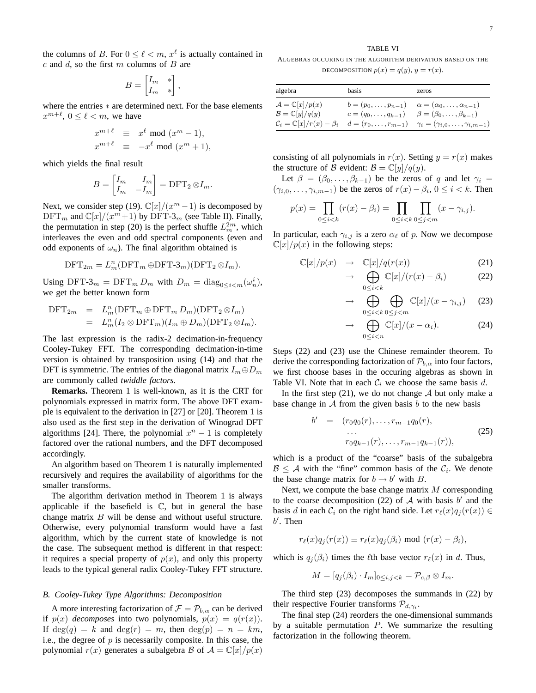the columns of B. For  $0 \leq \ell < m$ ,  $x^{\ell}$  is actually contained in  $c$  and  $d$ , so the first  $m$  columns of  $B$  are

$$
B = \begin{bmatrix} I_m & * \\ I_m & * \end{bmatrix},
$$

where the entries  $*$  are determined next. For the base elements  $x^{m+\ell}$ ,  $0 \le \ell < m$ , we have

$$
x^{m+\ell} \equiv x^{\ell} \mod (x^m - 1),
$$
  

$$
x^{m+\ell} \equiv -x^{\ell} \mod (x^m + 1),
$$

which yields the final result

$$
B = \begin{bmatrix} I_m & I_m \\ I_m & -I_m \end{bmatrix} = \text{DFT}_2 \otimes I_m.
$$

Next, we consider step (19).  $\mathbb{C}[x]/(x^m-1)$  is decomposed by  $\text{DFT}_m$  and  $\mathbb{C}[x]/(x^m+1)$  by  $\text{DFT-3}_m$  (see Table II). Finally, the permutation in step (20) is the perfect shuffle  $L_m^{2m}$ , which interleaves the even and odd spectral components (even and odd exponents of  $\omega_n$ ). The final algorithm obtained is

$$
DFT_{2m} = L_m^n(DFT_m \oplus DFT-3_m)(DFT_2 \otimes I_m).
$$

Using DFT-3<sub>m</sub> = DFT<sub>m</sub>  $D_m$  with  $D_m = \text{diag}_{0 \le i \le m}(\omega_n^i)$ , we get the better known form

$$
\begin{array}{rcl}\n\text{DFT}_{2m} & = & L_m^n(\text{DFT}_m \oplus \text{DFT}_m D_m)(\text{DFT}_2 \otimes I_m) \\
& = & L_m^n(I_2 \otimes \text{DFT}_m)(I_m \oplus D_m)(\text{DFT}_2 \otimes I_m).\n\end{array}
$$

The last expression is the radix-2 decimation-in-frequency Cooley-Tukey FFT. The corresponding decimation-in-time version is obtained by transposition using (14) and that the DFT is symmetric. The entries of the diagonal matrix  $I_m \oplus D_m$ are commonly called *twiddle factors*.

**Remarks.** Theorem 1 is well-known, as it is the CRT for polynomials expressed in matrix form. The above DFT example is equivalent to the derivation in [27] or [20]. Theorem 1 is also used as the first step in the derivation of Winograd DFT algorithms [24]. There, the polynomial  $x^n - 1$  is completely factored over the rational numbers, and the DFT decomposed accordingly.

An algorithm based on Theorem 1 is naturally implemented recursively and requires the availability of algorithms for the smaller transforms.

The algorithm derivation method in Theorem 1 is always applicable if the basefield is  $\mathbb{C}$ , but in general the base change matrix B will be dense and without useful structure. Otherwise, every polynomial transform would have a fast algorithm, which by the current state of knowledge is not the case. The subsequent method is different in that respect: it requires a special property of  $p(x)$ , and only this property leads to the typical general radix Cooley-Tukey FFT structure.

#### *B. Cooley-Tukey Type Algorithms: Decomposition*

A more interesting factorization of  $\mathcal{F} = \mathcal{P}_{b,\alpha}$  can be derived if  $p(x)$  *decomposes* into two polynomials,  $p(x) = q(r(x))$ . If  $deg(q) = k$  and  $deg(r) = m$ , then  $deg(p) = n = km$ , i.e., the degree of  $p$  is necessarily composite. In this case, the polynomial  $r(x)$  generates a subalgebra B of  $A = \mathbb{C}[x]/p(x)$ 

## TABLE VI

ALGEBRAS OCCURING IN THE ALGORITHM DERIVATION BASED ON THE DECOMPOSITION  $p(x) = q(y), y = r(x)$ .

| algebra                                                                                                                  | basis                                                    | zeros                                                                                                                                                                       |
|--------------------------------------------------------------------------------------------------------------------------|----------------------------------------------------------|-----------------------------------------------------------------------------------------------------------------------------------------------------------------------------|
| $\mathcal{A} = \mathbb{C}[x]/p(x)$<br>$\mathcal{B}=\mathbb{C}[y]/q(y)$<br>$\mathcal{C}_i = \mathbb{C}[x]/r(x) - \beta_i$ | $b=(p_0,\ldots,p_{n-1})$<br>$c = (q_0, \ldots, q_{k-1})$ | $\alpha = (\alpha_0, \ldots, \alpha_{n-1})$<br>$\beta = (\beta_0, \ldots, \beta_{k-1})$<br>$d = (r_0, \ldots, r_{m-1})$ $\gamma_i = (\gamma_{i,0}, \ldots, \gamma_{i,m-1})$ |

consisting of all polynomials in  $r(x)$ . Setting  $y = r(x)$  makes the structure of B evident:  $B = \mathbb{C}[y]/q(y)$ .

Let  $\beta = (\beta_0, \ldots, \beta_{k-1})$  be the zeros of q and let  $\gamma_i =$  $(\gamma_{i,0}, \ldots, \gamma_{i,m-1})$  be the zeros of  $r(x) - \beta_i$ ,  $0 \le i < k$ . Then

$$
p(x) = \prod_{0 \le i < k} (r(x) - \beta_i) = \prod_{0 \le i < k} \prod_{0 \le j < m} (x - \gamma_{i,j}).
$$

In particular, each  $\gamma_{i,j}$  is a zero  $\alpha_{\ell}$  of p. Now we decompose  $\mathbb{C}[x]/p(x)$  in the following steps:

$$
\mathbb{C}[x]/p(x) \rightarrow \mathbb{C}[x]/q(r(x)) \tag{21}
$$

$$
\rightarrow \bigoplus_{0 \le i < k} \mathbb{C}[x]/(r(x) - \beta_i) \tag{22}
$$

$$
\rightarrow \bigoplus_{0 \le i < k} \bigoplus_{0 \le j < m} \mathbb{C}[x]/(x - \gamma_{i,j}) \quad (23)
$$

$$
\rightarrow \bigoplus_{0 \leq i < n} \mathbb{C}[x]/(x - \alpha_i). \tag{24}
$$

Steps (22) and (23) use the Chinese remainder theorem. To derive the corresponding factorization of  $\mathcal{P}_{b,\alpha}$  into four factors, we first choose bases in the occuring algebras as shown in Table VI. Note that in each  $C_i$  we choose the same basis d.

In the first step  $(21)$ , we do not change A but only make a base change in  $A$  from the given basis  $b$  to the new basis

$$
b' = (r_0 q_0(r), \dots, r_{m-1} q_0(r), \dots, r_{0} q_{k-1}(r), \dots, r_{m-1} q_{k-1}(r)), \qquad (25)
$$

which is a product of the "coarse" basis of the subalgebra  $B \leq A$  with the "fine" common basis of the  $C_i$ . We denote the base change matrix for  $b \rightarrow b'$  with B.

Next, we compute the base change matrix  $M$  corresponding to the coarse decomposition (22) of  $A$  with basis  $b'$  and the basis d in each  $C_i$  on the right hand side. Let  $r_\ell(x)q_i(r(x)) \in$  $b'$ . Then

$$
r_{\ell}(x)q_j(r(x)) \equiv r_{\ell}(x)q_j(\beta_i) \text{ mod } (r(x) - \beta_i),
$$

which is  $q_j(\beta_i)$  times the  $\ell$ th base vector  $r_\ell(x)$  in d. Thus,

$$
M = [q_j(\beta_i) \cdot I_m]_{0 \le i,j < k} = \mathcal{P}_{c,\beta} \otimes I_m.
$$

The third step (23) decomposes the summands in (22) by their respective Fourier transforms  $\mathcal{P}_{d,\gamma_i}$ .

The final step (24) reorders the one-dimensional summands by a suitable permutation  $P$ . We summarize the resulting factorization in the following theorem.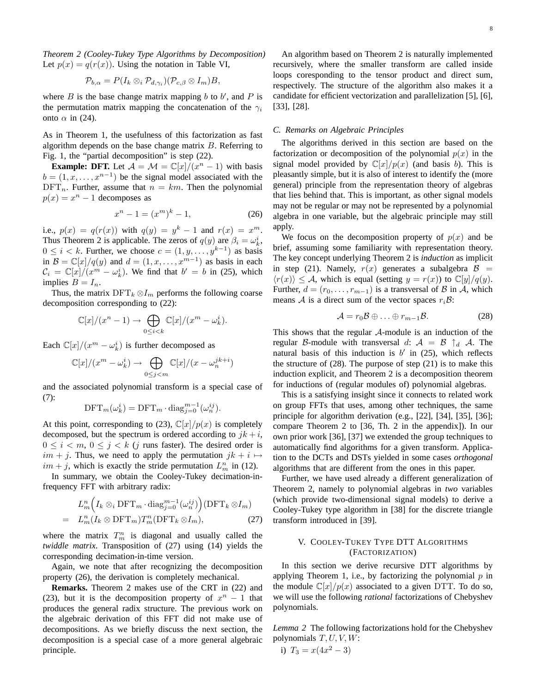*Theorem 2 (Cooley-Tukey Type Algorithms by Decomposition)* Let  $p(x) = q(r(x))$ . Using the notation in Table VI,

$$
\mathcal{P}_{b,\alpha} = P(I_k \otimes_i \mathcal{P}_{d,\gamma_i})(\mathcal{P}_{c,\beta} \otimes I_m)B,
$$

where  $B$  is the base change matrix mapping  $b$  to  $b'$ , and  $P$  is the permutation matrix mapping the concatenation of the  $\gamma_i$ onto  $\alpha$  in (24).

As in Theorem 1, the usefulness of this factorization as fast algorithm depends on the base change matrix  $B$ . Referring to Fig. 1, the "partial decomposition" is step (22).

**Example: DFT.** Let  $\mathcal{A} = \mathcal{M} = \mathbb{C}[x]/(x^n - 1)$  with basis  $b = (1, x, \dots, x^{n-1})$  be the signal model associated with the  $DFT_n$ . Further, assume that  $n = km$ . Then the polynomial  $p(x) = x^n - 1$  decomposes as

$$
x^n - 1 = (x^m)^k - 1,\t(26)
$$

i.e.,  $p(x) = q(r(x))$  with  $q(y) = y^k - 1$  and  $r(x) = x^m$ . Thus Theorem 2 is applicable. The zeros of  $q(y)$  are  $\beta_i = \omega_k^i$ ,  $0 \leq i < k$ . Further, we choose  $c = (1, y, \dots, y^{k-1})$  as basis in  $\mathcal{B} = \mathbb{C}[x]/q(y)$  and  $d = (1, x, \dots, x^{m-1})$  as basis in each  $\mathcal{C}_i = \mathbb{C}[x]/(x^m - \omega_k^i)$ . We find that  $b' = b$  in (25), which implies  $B = I_n$ .

Thus, the matrix  $\text{DFT}_k \otimes I_m$  performs the following coarse decomposition corresponding to (22):

$$
\mathbb{C}[x]/(x^n-1) \to \bigoplus_{0 \le i < k} \mathbb{C}[x]/(x^m - \omega_k^i).
$$

Each  $\mathbb{C}[x]/(x^m - \omega_k^i)$  is further decomposed as

$$
\mathbb{C}[x]/(x^m - \omega_k^i) \to \bigoplus_{0 \le j < m} \mathbb{C}[x]/(x - \omega_n^{jk+i})
$$

and the associated polynomial transform is a special case of (7):

$$
\text{DFT}_m(\omega_k^i) = \text{DFT}_m \cdot \text{diag}_{j=0}^{m-1}(\omega_n^{ij}).
$$

At this point, corresponding to (23),  $\mathbb{C}[x]/p(x)$  is completely decomposed, but the spectrum is ordered according to  $jk + i$ ,  $0 \leq i < m, 0 \leq j < k$  (j runs faster). The desired order is  $im + j$ . Thus, we need to apply the permutation  $jk + i \mapsto j$  $im + j$ , which is exactly the stride permutation  $L_m^n$  in (12).

In summary, we obtain the Cooley-Tukey decimation-infrequency FFT with arbitrary radix:

$$
L_m^n\Big(I_k \otimes_i \text{DFT}_m \cdot \text{diag}_{j=0}^{m-1}(\omega_n^{ij})\Big) (\text{DFT}_k \otimes I_m)
$$
  
=  $L_m^n(I_k \otimes \text{DFT}_m)T_m^n(\text{DFT}_k \otimes I_m),$  (27)

where the matrix  $T_m^n$  is diagonal and usually called the *twiddle matrix*. Transposition of (27) using (14) yields the corresponding decimation-in-time version.

Again, we note that after recognizing the decomposition property (26), the derivation is completely mechanical.

**Remarks.** Theorem 2 makes use of the CRT in (22) and (23), but it is the decomposition property of  $x^n - 1$  that produces the general radix structure. The previous work on the algebraic derivation of this FFT did not make use of decompositions. As we briefly discuss the next section, the decomposition is a special case of a more general algebraic principle.

An algorithm based on Theorem 2 is naturally implemented recursively, where the smaller transform are called inside loops coresponding to the tensor product and direct sum, respectively. The structure of the algorithm also makes it a candidate for efficient vectorization and parallelization [5], [6], [33], [28].

## *C. Remarks on Algebraic Principles*

The algorithms derived in this section are based on the factorization or decomposition of the polynomial  $p(x)$  in the signal model provided by  $\mathbb{C}[x]/p(x)$  (and basis b). This is pleasantly simple, but it is also of interest to identify the (more general) principle from the representation theory of algebras that lies behind that. This is important, as other signal models may not be regular or may not be represented by a polynomial algebra in one variable, but the algebraic principle may still apply.

We focus on the decomposition property of  $p(x)$  and be brief, assuming some familiarity with representation theory. The key concept underlying Theorem 2 is *induction* as implicit in step (21). Namely,  $r(x)$  generates a subalgebra  $\mathcal{B}$  =  $\langle r(x) \rangle \leq A$ , which is equal (setting  $y = r(x)$ ) to  $\mathbb{C}[y]/q(y)$ . Further,  $d = (r_0, \ldots, r_{m-1})$  is a transversal of B in A, which means A is a direct sum of the vector spaces  $r_i \mathcal{B}$ :

$$
\mathcal{A} = r_0 \mathcal{B} \oplus \ldots \oplus r_{m-1} \mathcal{B}.
$$
 (28)

This shows that the regular A-module is an induction of the regular B-module with transversal d:  $A = B \uparrow_d A$ . The natural basis of this induction is  $b'$  in (25), which reflects the structure of  $(28)$ . The purpose of step  $(21)$  is to make this induction explicit, and Theorem 2 is a decomposition theorem for inductions of (regular modules of) polynomial algebras.

This is a satisfying insight since it connects to related work on group FFTs that uses, among other techniques, the same principle for algorithm derivation (e.g., [22], [34], [35], [36]; compare Theorem 2 to [36, Th. 2 in the appendix]). In our own prior work [36], [37] we extended the group techniques to automatically find algorithms for a given transform. Application to the DCTs and DSTs yielded in some cases *orthogonal* algorithms that are different from the ones in this paper.

Further, we have used already a different generalization of Theorem 2, namely to polynomial algebras in *two* variables (which provide two-dimensional signal models) to derive a Cooley-Tukey type algorithm in [38] for the discrete triangle transform introduced in [39].

## V. COOLEY-TUKEY TYPE DTT ALGORITHMS (FACTORIZATION)

In this section we derive recursive DTT algorithms by applying Theorem 1, i.e., by factorizing the polynomial  $p$  in the module  $\mathbb{C}[x]/p(x)$  associated to a given DTT. To do so, we will use the following *rational* factorizations of Chebyshev polynomials.

*Lemma 2* The following factorizations hold for the Chebyshev polynomials  $T, U, V, W$ :

i) 
$$
T_3 = x(4x^2 - 3)
$$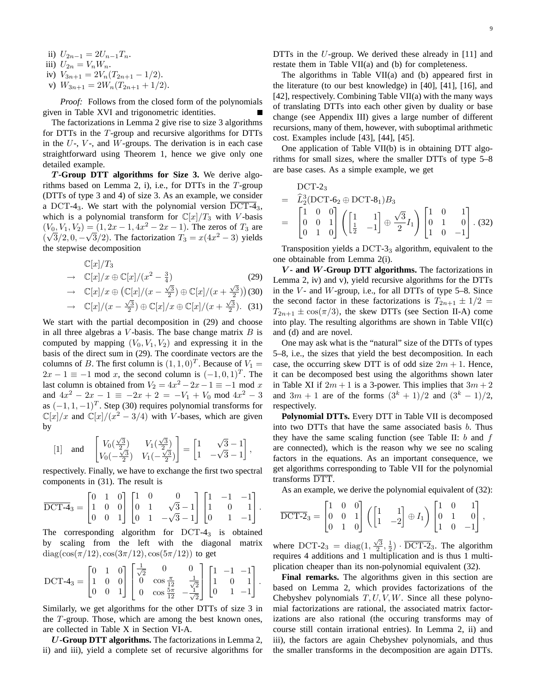iii) 
$$
U_{2n} = V_n W_n.
$$

iv) 
$$
V_{3n+1} = 2V_n(T_{2n+1} - 1/2).
$$

v) 
$$
W_{3n+1} = 2W_n(T_{2n+1} + 1/2).
$$

*Proof:* Follows from the closed form of the polynomials given in Table XVI and trigonometric identities.

The factorizations in Lemma 2 give rise to size 3 algorithms for DTTs in the T-group and recursive algorithms for DTTs in the  $U$ -,  $V$ -, and  $W$ -groups. The derivation is in each case straightforward using Theorem 1, hence we give only one detailed example.

T **-Group DTT algorithms for Size 3.** We derive algorithms based on Lemma 2, i), i.e., for DTTs in the  $T$ -group (DTTs of type 3 and 4) of size 3. As an example, we consider a DCT-4<sub>3</sub>. We start with the polynomial version  $\overline{DCT-4}_3$ , which is a polynomial transform for  $\mathbb{C}[x]/T_3$  with V-basis  $(V_0, V_1, V_2) = (1, 2x - 1, 4x^2 - 2x - 1)$ . The zeros of  $T_3$  are  $(\sqrt{3}/2, 0, -\sqrt{3}/2)$ . The factorization  $T_3 = x(4x^2 - 3)$  yields the stepwise decomposition

$$
\mathbb{C}[x]/T_3
$$
  
\n
$$
\rightarrow \mathbb{C}[x]/x \oplus \mathbb{C}[x]/(x^2 - \frac{3}{4})
$$
 (29)

$$
\rightarrow \quad \mathbb{C}[x]/x \oplus \left(\mathbb{C}[x]/(x-\frac{\sqrt{3}}{2}) \oplus \mathbb{C}[x]/(x+\frac{\sqrt{3}}{2})\right)
$$
(30)

$$
\rightarrow \mathbb{C}[x]/(x-\frac{\sqrt{3}}{2}) \oplus \mathbb{C}[x]/x \oplus \mathbb{C}[x]/(x+\frac{\sqrt{3}}{2}).
$$
 (31)

We start with the partial decomposition in (29) and choose in all three algebras a  $V$ -basis. The base change matrix  $B$  is computed by mapping  $(V_0, V_1, V_2)$  and expressing it in the basis of the direct sum in (29). The coordinate vectors are the columns of B. The first column is  $(1, 1, 0)^T$ . Because of  $V_1 =$  $2x - 1 \equiv -1 \mod x$ , the second column is  $(-1, 0, 1)^T$ . The last column is obtained from  $V_2 = 4x^2 - 2x - 1 \equiv -1 \mod x$ and  $4x^2 - 2x - 1 \equiv -2x + 2 = -V_1 + V_0 \mod 4x^2 - 3$ as  $(-1, 1, -1)^T$ . Step (30) requires polynomial transforms for  $\mathbb{C}[x]/x$  and  $\mathbb{C}[x]/(x^2 - 3/4)$  with *V*-bases, which are given by

$$
[1] \quad \text{and} \quad \begin{bmatrix} V_0(\frac{\sqrt{3}}{2}) & V_1(\frac{\sqrt{3}}{2}) \\ V_0(-\frac{\sqrt{3}}{2}) & V_1(-\frac{\sqrt{3}}{2}) \end{bmatrix} = \begin{bmatrix} 1 & \sqrt{3} - 1 \\ 1 & -\sqrt{3} - 1 \end{bmatrix},
$$

respectively. Finally, we have to exchange the first two spectral components in (31). The result is

$$
\overline{\text{DCT-4}}_3 = \begin{bmatrix} 0 & 1 & 0 \\ 1 & 0 & 0 \\ 0 & 0 & 1 \end{bmatrix} \begin{bmatrix} 1 & 0 & 0 \\ 0 & 1 & \sqrt{3} - 1 \\ 0 & 1 & -\sqrt{3} - 1 \end{bmatrix} \begin{bmatrix} 1 & -1 & -1 \\ 1 & 0 & 1 \\ 0 & 1 & -1 \end{bmatrix}.
$$

The corresponding algorithm for  $DCT-4<sub>3</sub>$  is obtained by scaling from the left with the diagonal matrix  $diag(cos(\pi/12), cos(3\pi/12), cos(5\pi/12))$  to get

$$
\text{DCT-4}_3 = \begin{bmatrix} 0 & 1 & 0 \\ 1 & 0 & 0 \\ 0 & 0 & 1 \end{bmatrix} \begin{bmatrix} \frac{1}{\sqrt{2}} & 0 & 0 \\ 0 & \cos\frac{\pi}{12} & \frac{1}{\sqrt{2}} \\ 0 & \cos\frac{5\pi}{12} & -\frac{1}{\sqrt{2}} \end{bmatrix} \begin{bmatrix} 1 & -1 & -1 \\ 1 & 0 & 1 \\ 0 & 1 & -1 \end{bmatrix}.
$$

Similarly, we get algorithms for the other DTTs of size 3 in the  $T$ -group. Those, which are among the best known ones, are collected in Table X in Section VI-A.

U**-Group DTT algorithms.** The factorizations in Lemma 2, ii) and iii), yield a complete set of recursive algorithms for DTTs in the U-group. We derived these already in [11] and restate them in Table VII(a) and (b) for completeness.

The algorithms in Table VII(a) and (b) appeared first in the literature (to our best knowledge) in [40], [41], [16], and [42], respectively. Combining Table VII(a) with the many ways of translating DTTs into each other given by duality or base change (see Appendix III) gives a large number of different recursions, many of them, however, with suboptimal arithmetic cost. Examples include [43], [44], [45].

One application of Table VII(b) is in obtaining DTT algorithms for small sizes, where the smaller DTTs of type 5–8 are base cases. As a simple example, we get

$$
\begin{aligned}\n\text{DCT-2}_3 &= \hat{L}_2^3(\text{DCT-6}_2 \oplus \text{DCT-8}_1)B_3 \\
&= \begin{bmatrix} 1 & 0 & 0 \\ 0 & 0 & 1 \\ 0 & 1 & 0 \end{bmatrix} \left( \begin{bmatrix} 1 & 1 \\ \frac{1}{2} & -1 \end{bmatrix} \oplus \frac{\sqrt{3}}{2} I_1 \right) \begin{bmatrix} 1 & 0 & 1 \\ 0 & 1 & 0 \\ 1 & 0 & -1 \end{bmatrix} .\n\end{aligned} \tag{32}
$$

Transposition yields a  $DCT-3<sub>3</sub>$  algorithm, equivalent to the one obtainable from Lemma 2(i).

V **- and** W**-Group DTT algorithms.** The factorizations in Lemma 2, iv) and v), yield recursive algorithms for the DTTs in the  $V$ - and  $W$ -group, i.e., for all DTTs of type 5–8. Since the second factor in these factorizations is  $T_{2n+1} \pm 1/2 =$  $T_{2n+1} \pm \cos(\pi/3)$ , the skew DTTs (see Section II-A) come into play. The resulting algorithms are shown in Table VII(c) and (d) and are novel.

One may ask what is the "natural" size of the DTTs of types 5–8, i.e., the sizes that yield the best decomposition. In each case, the occurring skew DTT is of odd size  $2m + 1$ . Hence, it can be decomposed best using the algorithms shown later in Table XI if  $2m + 1$  is a 3-power. This implies that  $3m + 2$ and  $3m + 1$  are of the forms  $(3<sup>k</sup> + 1)/2$  and  $(3<sup>k</sup> - 1)/2$ , respectively.

**Polynomial DTTs.** Every DTT in Table VII is decomposed into two DTTs that have the same associated basis  $b$ . Thus they have the same scaling function (see Table II:  $b$  and  $f$ are connected), which is the reason why we see no scaling factors in the equations. As an important consequence, we get algorithms corresponding to Table VII for the polynomial transforms DTT.

As an example, we derive the polynomial equivalent of (32):

$$
\overline{\text{DCT-2}}_3 = \begin{bmatrix} 1 & 0 & 0 \\ 0 & 0 & 1 \\ 0 & 1 & 0 \end{bmatrix} \left( \begin{bmatrix} 1 & 1 \\ 1 & -2 \end{bmatrix} \oplus I_1 \right) \begin{bmatrix} 1 & 0 & 1 \\ 0 & 1 & 0 \\ 1 & 0 & -1 \end{bmatrix},
$$

where DCT-2<sub>3</sub> = diag(1,  $\frac{\sqrt{3}}{2}, \frac{1}{2}$ ) · DCT-2<sub>3</sub>. The algorithm requires 4 additions and 1 multiplication and is thus 1 multiplication cheaper than its non-polynomial equivalent (32).

**Final remarks.** The algorithms given in this section are based on Lemma 2, which provides factorizations of the Chebyshev polynomials  $T, U, V, W$ . Since all these polynomial factorizations are rational, the associated matrix factorizations are also rational (the occuring transforms may of course still contain irrational entries). In Lemma 2, ii) and iii), the factors are again Chebyshev polynomials, and thus the smaller transforms in the decomposition are again DTTs.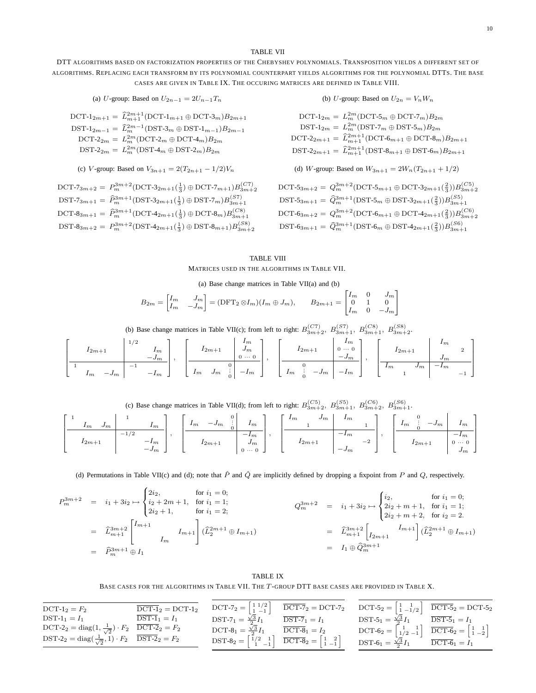#### TABLE VII

DTT ALGORITHMS BASED ON FACTORIZATION PROPERTIES OF THE CHEBYSHEV POLYNOMIALS. TRANSPOSITION YIELDS A DIFFERENT SET OF ALGORITHMS. REPLACING EACH TRANSFORM BY ITS POLYNOMIAL COUNTERPART YIELDS ALGORITHMS FOR THE POLYNOMIAL DTTS. THE BASE CASES ARE GIVEN IN TABLE IX. THE OCCURING MATRICES ARE DEFINED IN TABLE VIII.

(a) *U*-group: Based on 
$$
U_{2n-1} = 2U_{n-1}T_n
$$

DCT-1<sub>2m+1</sub> =  $\widehat{L}_{m+1}^{2m+1}$ (DCT-1<sub>m+1</sub>  $\oplus$  DCT-3<sub>m</sub>) $B_{2m+1}$ DST-1<sub>2m−1</sub> =  $\hat{L}_m^{2m-1}$ (DST-3<sub>m</sub> ⊕ DST-1<sub>m−1</sub>) $B_{2m-1}$ DCT-2<sub>2m</sub> =  $L_m^{2m}$ (DCT-2<sub>m</sub>  $\oplus$  DCT-4<sub>m</sub>) $B_{2m}$  $\text{DST-2}_{2m} = L_m^{2m}(\text{DST-4}_{m} \oplus \text{DST-2}_{m})B_{2m}$ 

(c) V-group: Based on 
$$
V_{3n+1} = 2(T_{2n+1} - 1/2)V_n
$$

DCT-7<sub>3m+2</sub> =  $P_m^{3m+2}$ (DCT-3<sub>2m+1</sub>( $\frac{1}{3}$ )  $\oplus$  DCT-7<sub>m+1</sub>) $B_{3m+2}^{(CT)}$ DST-7<sub>3m+1</sub> =  $\hat{P}_m^{3m+1}$ (DST-3<sub>2m+1</sub>( $\frac{1}{3}$ )  $\oplus$  DST-7<sub>m</sub>) $B_{3m+1}^{(ST)}$ DCT-8<sub>3m+1</sub> =  $\hat{P}_m^{3m+1}$ (DCT-4<sub>2m+1</sub>( $\frac{1}{3}$ )  $\oplus$  DCT-8<sub>m</sub>) $B_{3m+1}^{(CS)}$ DST-8<sub>3m+2</sub> =  $P_m^{3m+2}$ (DST-4<sub>2m+1</sub>( $\frac{1}{3}$ )  $\oplus$  DST-8<sub>m+1</sub>) $B_{3m+2}^{(S8)}$ 

(b) U-group: Based on  $U_{2n} = V_n W_n$ 

$$
\begin{aligned} \text{DCT-1}_{2m} &= L_m^{2m}(\text{DCT-5}_m \oplus \text{DCT-7}_m) B_{2m} \\ \text{DST-1}_{2m} &= L_m^{2m}(\text{DST-7}_m \oplus \text{DST-5}_m) B_{2m} \\ \text{DCT-2}_{2m+1} &= \hat{L}_{m+1}^{2m+1}(\text{DCT-6}_{m+1} \oplus \text{DCT-8}_m) B_{2m+1} \\ \text{DST-2}_{2m+1} &= \hat{L}_{m+1}^{2m+1}(\text{DST-8}_{m+1} \oplus \text{DST-6}_m) B_{2m+1} \end{aligned}
$$

(d) W-group: Based on 
$$
W_{3n+1} = 2W_n(T_{2n+1} + 1/2)
$$

DCT-5<sub>3m+2</sub> = 
$$
Q_m^{3m+2}
$$
(DCT-5<sub>m+1</sub>  $\oplus$  DCT-3<sub>2m+1</sub>( $\frac{2}{3}$ )) $B_{3m+2}^{(C5)}$   
\nDST-5<sub>3m+1</sub> =  $\hat{Q}_m^{3m+1}$ (DST-5<sub>m</sub>  $\oplus$  DST-3<sub>2m+1</sub>( $\frac{2}{3}$ )) $B_{3m+1}^{(S5)}$   
\nDCT-6<sub>3m+2</sub> =  $Q_m^{3m+2}$ (DCT-6<sub>m+1</sub>  $\oplus$  DCT-4<sub>2m+1</sub>( $\frac{2}{3}$ )) $B_{3m+2}^{(C6)}$   
\nDST-6<sub>3m+1</sub> =  $\hat{Q}_m^{3m+1}$ (DST-6<sub>m</sub>  $\oplus$  DST-4<sub>2m+1</sub>( $\frac{2}{3}$ )) $B_{3m+1}^{(S6)}$ 

## TABLE VIII MATRICES USED IN THE ALGORITHMS IN TABLE VII.

(a) Base change matrices in Table VII(a) and (b)

$$
B_{2m} = \begin{bmatrix} I_m & J_m \\ I_m & -J_m \end{bmatrix} = (\text{DFT}_2 \otimes I_m)(I_m \oplus J_m), \qquad B_{2m+1} = \begin{bmatrix} I_m & 0 & J_m \\ 0 & 1 & 0 \\ I_m & 0 & -J_m \end{bmatrix}
$$

(b) Base change matrices in Table VII(c); from left to right:  $B_{3m+2}^{(CT)}$ ,  $B_{3m+1}^{(ST)}$ ,  $B_{3m+1}^{(CS)}$ ,  $B_{3m+2}^{(SS)}$ .

$$
\left[\begin{array}{c|c}I_{2m+1} & 1/2 & I_m \ -J_m & -I_m \end{array}\right], \quad \left[\begin{array}{c|c}I_{2m+1} & J_m \ J_m & 0 & -J_m \ I_{2m+1} & 0 & 0 \end{array}\right], \quad \left[\begin{array}{c|c}I_{2m+1} & 0 & I_m \ -I_{2m+1} & 0 & -J_m \ -I_m & 0 & -I_m \end{array}\right], \quad \left[\begin{array}{c|c}I_{2m+1} & I_m & 0 \ -J_m & -I_m & -I_m \end{array}\right]
$$

| (c) Base change matrices in Table VII(d); from left to right: $B_{3m+2}^{(C5)}$ , $B_{3m+1}^{(S5)}$ , $B_{3m+2}^{(C6)}$ , $B_{3m+1}^{(S6)}$ . |  |  |  |  |
|-----------------------------------------------------------------------------------------------------------------------------------------------|--|--|--|--|
|-----------------------------------------------------------------------------------------------------------------------------------------------|--|--|--|--|

| 1 <sub>m</sub><br>1 <sub>m</sub><br>$J_m$<br>$\overline{\phantom{a}}$<br>$-1$<br>$12m + 1$<br>$-1m$<br>$-J_{m}$<br>– | $-J_m$<br>1 <sub>m</sub><br>1 <sub>m</sub><br>$-1m$<br>-<br>$12m + 1$<br>$J_{m}$<br>$0 \cdots$<br>⌒<br>v | $\frac{1}{m}$<br>1 <sub>m</sub><br>$J_{m}$<br>$-1m$<br>$\Omega$<br>$12m+1$<br>$^{-2}$<br>$-J_m$ | $\sim$<br>$-J_m$<br>1 <sub>m</sub><br>1 <sub>m</sub><br>$-1m$<br>$\sim$<br>$0 \cdots 0$<br>$12m+1$<br>$J_m$ |
|----------------------------------------------------------------------------------------------------------------------|----------------------------------------------------------------------------------------------------------|-------------------------------------------------------------------------------------------------|-------------------------------------------------------------------------------------------------------------|
|----------------------------------------------------------------------------------------------------------------------|----------------------------------------------------------------------------------------------------------|-------------------------------------------------------------------------------------------------|-------------------------------------------------------------------------------------------------------------|

(d) Permutations in Table VII(c) and (d); note that  $\hat{P}$  and  $\hat{Q}$  are implicitly defined by dropping a fixpoint from P and Q, respectively.

$$
P_{m}^{3m+2} = i_{1} + 3i_{2} \mapsto \begin{cases} 2i_{2}, & \text{for } i_{1} = 0; \\ i_{2} + 2m + 1, & \text{for } i_{1} = 1; \\ 2i_{2} + 1, & \text{for } i_{1} = 2; \end{cases} \qquad Q_{m}^{3m+2} = i_{1} + 3i_{2} \mapsto \begin{cases} i_{2}, & \text{for } i_{1} = 0; \\ 2i_{2} + m + 1, & \text{for } i_{1} = 1; \\ 2i_{2} + m + 2, & \text{for } i_{2} = 2. \end{cases}
$$
  
\n
$$
= \hat{L}_{m+1}^{3m+2} \begin{bmatrix} I_{m+1} \\ I_{m} \end{bmatrix} \begin{pmatrix} \hat{L}_{2}^{2m+1} \oplus I_{m+1} \end{pmatrix} \qquad \qquad Q_{m}^{3m+2} = i_{1} + 3i_{2} \mapsto \begin{cases} i_{2}, & \text{for } i_{1} = 0; \\ 2i_{2} + m + 1, & \text{for } i_{1} = 1; \\ 2i_{2} + m + 2, & \text{for } i_{2} = 2. \end{cases}
$$
  
\n
$$
= \hat{L}_{m+1}^{3m+2} \begin{bmatrix} I_{m+1} \\ I_{2m+1} \end{bmatrix} \begin{pmatrix} \hat{L}_{2}^{2m+1} \oplus I_{m+1} \end{pmatrix} \qquad \qquad = \begin{bmatrix} \hat{L}_{m+1}^{3m+2} \\ I_{2m+1} \end{bmatrix} \begin{pmatrix} I_{m+1} \\ I_{2m+1} \end{pmatrix} \begin{pmatrix} \hat{L}_{2}^{2m+1} \oplus I_{m+1} \end{pmatrix}
$$

TABLE IX BASE CASES FOR THE ALGORITHMS IN TABLE VII. THE T-GROUP DTT BASE CASES ARE PROVIDED IN TABLE X.

| $DCT-1_2 = F_2$                                                                         | $\overline{\text{DCT-1}}_2 = \text{DCT-1}_2$ |                                                                                                                                                    | DCT-7 <sub>2</sub> = $\begin{bmatrix} 1 & 1/2 \\ 1 & -1 \end{bmatrix}$ $\overline{DCT\text{-}7}_2 = \text{DCT-}7_2$ $\overline{DCT\text{-}5}_2 = \begin{bmatrix} 1 & 1 \\ 1 & -1/2 \end{bmatrix}$ $\overline{DCT\text{-}5}_2 = \text{DCT-}5_2$ |                                                                                                                                                    |  |
|-----------------------------------------------------------------------------------------|----------------------------------------------|----------------------------------------------------------------------------------------------------------------------------------------------------|------------------------------------------------------------------------------------------------------------------------------------------------------------------------------------------------------------------------------------------------|----------------------------------------------------------------------------------------------------------------------------------------------------|--|
| $DST-1_1 = I_1$                                                                         | $DST-1_1 = I_1$                              | DST-7 <sub>1</sub> = $\frac{\sqrt{3}}{2}I_1$                                                                                                       | $\overline{\text{DST-7}}_1 = I_1$                                                                                                                                                                                                              | $DST-5_1 = \frac{\sqrt{3}}{2}I_1$ $\qquad \qquad \overline{DST-5_1} = I_1$                                                                         |  |
| DCT-2 <sub>2</sub> = diag(1, $\frac{1}{\sqrt{2}}$ ) · $F_2$ DCT-2 <sub>2</sub> = $F_2$  |                                              | DCT-8 <sub>1</sub> = $\frac{\sqrt{3}}{2}I_1$                                                                                                       | $\overline{\mathrm{DCT-8}}_1 = I_2$                                                                                                                                                                                                            | $\text{DCT-6}_2 = \begin{bmatrix} 1 & 1 \\ 1/2 & -1 \end{bmatrix} \quad \overline{\text{DCT-6}}_2 = \begin{bmatrix} 1 & 1 \\ 1 & -2 \end{bmatrix}$ |  |
| DST-2 <sub>2</sub> = diag( $\frac{1}{\sqrt{2}}$ , 1) · $F_2$ DST-2 <sub>2</sub> = $F_2$ |                                              | DST-8 <sub>2</sub> = $\begin{bmatrix} 1/2 & 1 \\ 1 & -1 \end{bmatrix}$ $\overline{\text{DCT-8}}_2 = \begin{bmatrix} 1 & 2 \\ 1 & -1 \end{bmatrix}$ |                                                                                                                                                                                                                                                | DST-6 <sub>1</sub> = $\frac{\sqrt{3}}{2}I_1$ DCT-6 <sub>1</sub> = $I_1$                                                                            |  |
|                                                                                         |                                              |                                                                                                                                                    |                                                                                                                                                                                                                                                |                                                                                                                                                    |  |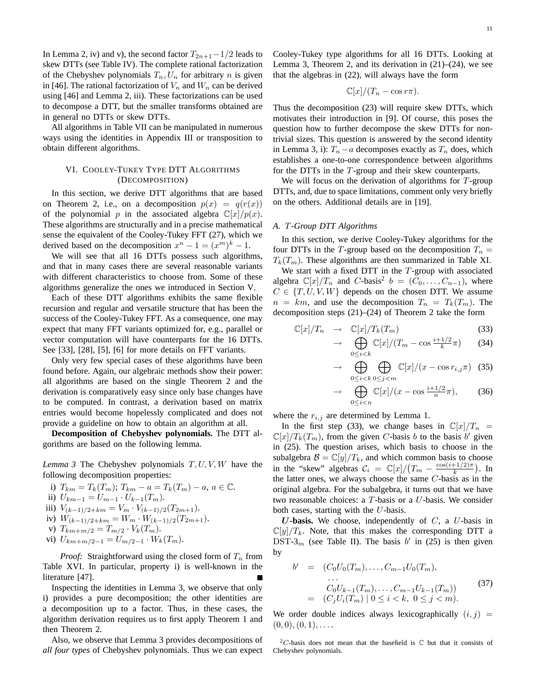In Lemma 2, iv) and v), the second factor  $T_{2n+1}-1/2$  leads to skew DTTs (see Table IV). The complete rational factorization of the Chebyshev polynomials  $T_n, U_n$  for arbitrary n is given in [46]. The rational factorization of  $V_n$  and  $W_n$  can be derived using [46] and Lemma 2, iii). These factorizations can be used to decompose a DTT, but the smaller transforms obtained are in general no DTTs or skew DTTs.

All algorithms in Table VII can be manipulated in numerous ways using the identities in Appendix III or transposition to obtain different algorithms.

## VI. COOLEY-TUKEY TYPE DTT ALGORITHMS (DECOMPOSITION)

In this section, we derive DTT algorithms that are based on Theorem 2, i.e., on a decomposition  $p(x) = q(r(x))$ of the polynomial p in the associated algebra  $\mathbb{C}[x]/p(x)$ . These algorithms are structurally and in a precise mathematical sense the equivalent of the Cooley-Tukey FFT (27), which we derived based on the decomposition  $x^n - 1 = (x^m)^k - 1$ .

We will see that all 16 DTTs possess such algorithms, and that in many cases there are several reasonable variants with different characteristics to choose from. Some of these algorithms generalize the ones we introduced in Section V.

Each of these DTT algorithms exhibits the same flexible recursion and regular and versatile structure that has been the success of the Cooley-Tukey FFT. As a consequence, one may expect that many FFT variants optimized for, e.g., parallel or vector computation will have counterparts for the 16 DTTs. See [33], [28], [5], [6] for more details on FFT variants.

Only very few special cases of these algorithms have been found before. Again, our algebraic methods show their power: all algorithms are based on the single Theorem 2 and the derivation is comparatively easy since only base changes have to be computed. In contrast, a derivation based on matrix entries would become hopelessly complicated and does not provide a guideline on how to obtain an algorithm at all.

**Decomposition of Chebyshev polynomials.** The DTT algorithms are based on the following lemma.

*Lemma 3* The Chebyshev polynomials T, U, V, W have the following decomposition properties:

i) 
$$
T_{km} = T_k(T_m)
$$
;  $T_{km} - a = T_k(T_m) - a, a \in \mathbb{C}$ .

ii) 
$$
U_{km-1} = U_{m-1} \cdot U_{k-1}(T_m)
$$
.

- iii)  $V_{(k-1)/2+km} = V_m \cdot V_{(k-1)/2}(T_{2m+1}).$
- iv)  $W_{(k-1)/2+km} = W_m \cdot W_{(k-1)/2}(T_{2m+1}).$
- v)  $T_{km+m/2} = T_{m/2} \cdot V_k(T_m)$ .
- vi)  $U_{km+m/2-1} = U_{m/2-1} \cdot W_k(T_m)$ .

*Proof:* Straightforward using the closed form of  $T_n$  from Table XVI. In particular, property i) is well-known in the literature [47].

Inspecting the identities in Lemma 3, we observe that only i) provides a pure decomposition; the other identities are a decomposition up to a factor. Thus, in these cases, the algorithm derivation requires us to first apply Theorem 1 and then Theorem 2.

Also, we observe that Lemma 3 provides decompositions of *all four types* of Chebyshev polynomials. Thus we can expect 11

Cooley-Tukey type algorithms for all 16 DTTs. Looking at Lemma 3, Theorem 2, and its derivation in  $(21)$ – $(24)$ , we see that the algebras in (22), will always have the form

$$
\mathbb{C}[x]/(T_n - \cos r\pi).
$$

Thus the decomposition (23) will require skew DTTs, which motivates their introduction in [9]. Of course, this poses the question how to further decompose the skew DTTs for nontrivial sizes. This question is answered by the second identity in Lemma 3, i):  $T_n - a$  decomposes exactly as  $T_n$  does, which establishes a one-to-one correspondence between algorithms for the DTTs in the T-group and their skew counterparts.

We will focus on the derivation of algorithms for  $T$ -group DTTs, and, due to space limitations, comment only very briefly on the others. Additional details are in [19].

## *A.* T*-Group DTT Algorithms*

In this section, we derive Cooley-Tukey algorithms for the four DTTs in the T-group based on the decomposition  $T_n =$  $T_k(T_m)$ . These algorithms are then summarized in Table XI.

We start with a fixed DTT in the T-group with associated algebra  $\mathbb{C}[x]/T_n$  and C-basis<sup>2</sup>  $b = (C_0, \ldots, C_{n-1})$ , where  $C \in \{T, U, V, W\}$  depends on the chosen DTT. We assume  $n = km$ , and use the decomposition  $T_n = T_k(T_m)$ . The decomposition steps (21)–(24) of Theorem 2 take the form

$$
\mathbb{C}[x]/T_n \quad \to \quad \mathbb{C}[x]/T_k(T_m) \tag{33}
$$

$$
\rightarrow \bigoplus_{0 \le i < k} \mathbb{C}[x]/(T_m - \cos \frac{i+1/2}{k}\pi) \tag{34}
$$

$$
\rightarrow \bigoplus_{0 \le i < k} \bigoplus_{0 \le j < m} \mathbb{C}[x]/(x - \cos r_{i,j}\pi) \tag{35}
$$

$$
\rightarrow \bigoplus_{0 \le i < n} \mathbb{C}[x]/(x - \cos \frac{i + 1/2}{n}\pi), \tag{36}
$$

where the  $r_{i,j}$  are determined by Lemma 1.

In the first step (33), we change bases in  $\mathbb{C}[x]/T_n$  =  $\mathbb{C}[x]/T_k(T_m)$ , from the given C-basis b to the basis b' given in (25). The question arises, which basis to choose in the subalgebra  $\mathcal{B} = \mathbb{C}[y]/T_k$ , and which common basis to choose in the "skew" algebras  $C_i = \mathbb{C}[x]/(T_m - \frac{\cos(i+1/2)\pi}{k})$  $\frac{+1/2\pi}{k}$ ). In the latter ones, we always choose the same  $C$ -basis as in the original algebra. For the subalgebra, it turns out that we have two reasonable choices: a T-basis or a U-basis. We consider both cases, starting with the U-basis.

U-basis. We choose, independently of  $C$ , a U-basis in  $\mathbb{C}[y]/T_k$ . Note, that this makes the corresponding DTT a DST-3<sub>m</sub> (see Table II). The basis  $b'$  in (25) is then given by

$$
b' = (C_0U_0(T_m), \dots, C_{m-1}U_0(T_m),
$$
  
\n...  
\n
$$
C_0U_{k-1}(T_m), \dots, C_{m-1}U_{k-1}(T_m))
$$
  
\n
$$
= (C_jU_i(T_m) | 0 \le i < k, 0 \le j < m).
$$
\n(37)

We order double indices always lexicographically  $(i, j)$  =  $(0, 0), (0, 1), \ldots$ 

<sup>&</sup>lt;sup>2</sup>C-basis does not mean that the basefield is  $\mathbb C$  but that it consists of Chebyshev polynomials.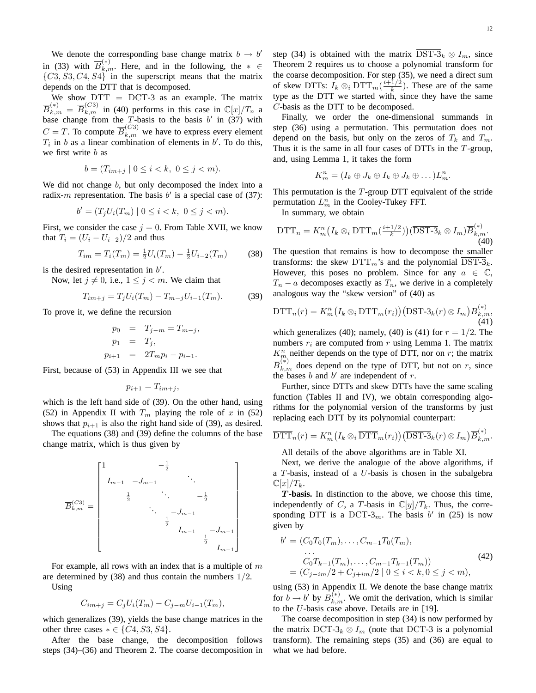We denote the corresponding base change matrix  $b \to b'$ in (33) with  $\overline{B}_{k,m}^{(*)}$ . Here, and in the following, the  $* \in$  $\{C3, S3, C4, S4\}$  in the superscript means that the matrix depends on the DTT that is decomposed.

We show  $DTT = DCT-3$  as an example. The matrix  $\overline{B}_{k,m}^{(*)} = \overline{B}_{k,m}^{(C3)}$  in (40) performs in this case in  $\mathbb{C}[x]/T_n$  a base change from the T-basis to the basis  $b'$  in (37) with  $C = T$ . To compute  $\overline{B}_{k,m}^{(C3)}$  we have to express every element  $T_i$  in b as a linear combination of elements in b'. To do this, we first write *b* as

$$
b = (T_{im+j} \mid 0 \le i < k, \ 0 \le j < m).
$$

We did not change b, but only decomposed the index into a radix-m representation. The basis  $b'$  is a special case of (37):

$$
b' = (T_j U_i(T_m) \mid 0 \le i < k, \ 0 \le j < m).
$$

First, we consider the case  $j = 0$ . From Table XVII, we know that  $T_i = (U_i - U_{i-2})/2$  and thus

$$
T_{im} = T_i(T_m) = \frac{1}{2}U_i(T_m) - \frac{1}{2}U_{i-2}(T_m)
$$
 (38)

is the desired representation in  $b'$ .

Now, let  $j \neq 0$ , i.e.,  $1 \leq j \leq m$ . We claim that

$$
T_{im+j} = T_j U_i(T_m) - T_{m-j} U_{i-1}(T_m). \tag{39}
$$

To prove it, we define the recursion

$$
p_0 = T_{j-m} = T_{m-j},
$$
  
\n
$$
p_1 = T_j,
$$
  
\n
$$
p_{i+1} = 2T_m p_i - p_{i-1}.
$$

First, because of (53) in Appendix III we see that

$$
p_{i+1} = T_{im+j},
$$

which is the left hand side of (39). On the other hand, using (52) in Appendix II with  $T_m$  playing the role of x in (52) shows that  $p_{i+1}$  is also the right hand side of (39), as desired.

The equations (38) and (39) define the columns of the base change matrix, which is thus given by

$$
\overline{B}_{k,m}^{(C3)} = \begin{bmatrix}\n1 & -\frac{1}{2} & & & & \\
I_{m-1} & -J_{m-1} & & & & \\
& \frac{1}{2} & \ddots & -\frac{1}{2} & & \\
& & \ddots & -J_{m-1} & & \\
& & & \frac{1}{2} & & \\
& & & & I_{m-1} & -J_{m-1} \\
& & & & & \frac{1}{2} & \\
& & & & & I_{m-1}\n\end{bmatrix}
$$

For example, all rows with an index that is a multiple of  $m$ are determined by  $(38)$  and thus contain the numbers  $1/2$ . Using

$$
C_{im+j} = C_j U_i(T_m) - C_{j-m} U_{i-1}(T_m),
$$

which generalizes (39), yields the base change matrices in the other three cases  $* \in \{C4, S3, S4\}.$ 

After the base change, the decomposition follows steps (34)–(36) and Theorem 2. The coarse decomposition in

step (34) is obtained with the matrix  $\overline{\text{DST-3}}_k \otimes I_m$ , since Theorem 2 requires us to choose a polynomial transform for the coarse decomposition. For step (35), we need a direct sum of skew DTTs:  $I_k \otimes_i \text{DTT}_m(\frac{i+1/2}{k})$  $\frac{1/2}{k}$ ). These are of the same type as the DTT we started with, since they have the same C-basis as the DTT to be decomposed.

Finally, we order the one-dimensional summands in step (36) using a permutation. This permutation does not depend on the basis, but only on the zeros of  $T_k$  and  $T_m$ . Thus it is the same in all four cases of DTTs in the  $T$ -group, and, using Lemma 1, it takes the form

$$
K_m^n = (I_k \oplus J_k \oplus I_k \oplus J_k \oplus \dots) L_m^n.
$$

This permutation is the  $T$ -group DTT equivalent of the stride permutation  $L_m^n$  in the Cooley-Tukey FFT.

In summary, we obtain

$$
\text{DTT}_n = K_m^n \big( I_k \otimes_i \text{DTT}_m\big(\frac{i+1/2}{k}\big) \big) \big( \overline{\text{DST-3}}_k \otimes I_m \big) \overline{B}_{k,m}^{(*)}.\tag{40}
$$

The question that remains is how to decompose the smaller transforms: the skew  $DTT_m$ 's and the polynomial  $\overline{DST-3}_k$ . However, this poses no problem. Since for any  $a \in \mathbb{C}$ ,  $T_n - a$  decomposes exactly as  $T_n$ , we derive in a completely analogous way the "skew version" of (40) as

$$
\mathrm{DTT}_n(r) = K_m^n \big( I_k \otimes_i \mathrm{DTT}_m(r_i) \big) \big( \overline{\mathrm{DST-3}}_k(r) \otimes I_m \big) \overline{B}_{k,m}^{(*)},\tag{41}
$$

which generalizes (40); namely, (40) is (41) for  $r = 1/2$ . The numbers  $r_i$  are computed from r using Lemma 1. The matrix  $K_{m}^{n}$  neither depends on the type of DTT, nor on r; the matrix  $\overline{B}_{k,m}^{(*)}$  does depend on the type of DTT, but not on r, since the bases  $b$  and  $b'$  are independent of  $r$ .

Further, since DTTs and skew DTTs have the same scaling function (Tables II and IV), we obtain corresponding algorithms for the polynomial version of the transforms by just replacing each DTT by its polynomial counterpart:

$$
\overline{\mathrm{DTT}}_n(r) = K_m^n\big(I_k \otimes_i \overline{\mathrm{DTT}}_m(r_i)\big) \big(\overline{\mathrm{DST-3}}_k(r) \otimes I_m\big) \overline{B}_{k,m}^{(*)}.
$$

All details of the above algorithms are in Table XI.

Next, we derive the analogue of the above algorithms, if a  $T$ -basis, instead of a  $U$ -basis is chosen in the subalgebra  $\mathbb{C}[x]/T_k$ .

T **-basis.** In distinction to the above, we choose this time, independently of C, a T-basis in  $\mathbb{C}[y]/T_k$ . Thus, the corresponding DTT is a DCT-3<sub>m</sub>. The basis b' in (25) is now given by

$$
b' = (C_0T_0(T_m), \dots, C_{m-1}T_0(T_m),
$$
  
\n
$$
\dots
$$
  
\n
$$
C_0T_{k-1}(T_m), \dots, C_{m-1}T_{k-1}(T_m))
$$
  
\n
$$
= (C_{j-im}/2 + C_{j+im}/2 \mid 0 \le i < k, 0 \le j < m),
$$
\n
$$
(42)
$$

using (53) in Appendix II. We denote the base change matrix for  $b \to b'$  by  $B_{k,m}^{(*)}$ . We omit the derivation, which is similar to the U-basis case above. Details are in [19].

The coarse decomposition in step (34) is now performed by the matrix DCT-3<sub>k</sub>  $\otimes I_m$  (note that DCT-3 is a polynomial transform). The remaining steps (35) and (36) are equal to what we had before.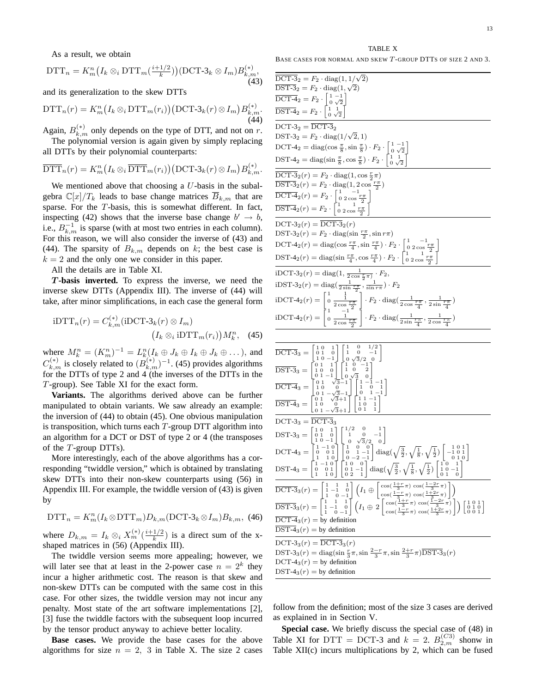As a result, we obtain

$$
\text{DTT}_n = K_m^n \big( I_k \otimes_i \text{DTT}_m\big(\frac{i+1/2}{k}\big) \big) (\text{DCT-3}_k \otimes I_m) B_{k,m}^{(*)},\tag{43}
$$

and its generalization to the skew DTTs

$$
\text{DTT}_n(r) = K_m^n \big( I_k \otimes_i \text{DTT}_m(r_i) \big) \big( \text{DCT-3}_k(r) \otimes I_m \big) B_{k,m}^{(*)}.
$$
\n(44)

Again,  $B_{k,m}^{(*)}$  only depends on the type of DTT, and not on r.

The polynomial version is again given by simply replacing all DTTs by their polynomial counterparts:

$$
\overline{\mathrm{DTT}}_n(r) = K_m^n\big(I_k \otimes_i \overline{\mathrm{DTT}}_m(r_i)\big) \big(\mathrm{DCT-3}_k(r) \otimes I_m\big) B_{k,m}^{(*)}.
$$

We mentioned above that choosing a  $U$ -basis in the subalgebra  $\mathbb{C}[x]/T_k$  leads to base change matrices  $\overline{B}_{k,m}$  that are sparse. For the  $T$ -basis, this is somewhat different. In fact, inspecting (42) shows that the inverse base change  $b' \rightarrow b$ , i.e.,  $B_{k,m}^{-1}$  is sparse (with at most two entries in each column). For this reason, we will also consider the inverse of (43) and (44). The sparsity of  $B_{k,m}$  depends on k; the best case is  $k = 2$  and the only one we consider in this paper.

All the details are in Table XI.

T **-basis inverted.** To express the inverse, we need the inverse skew DTTs (Appendix III). The inverse of (44) will take, after minor simplifications, in each case the general form

iDTT<sub>n</sub>(r) = C<sub>k,m</sub><sup>(\*)</sup> (iDCT-3<sub>k</sub>(r) 
$$
\otimes I_m
$$
)  
\n
$$
(I_k \otimes_i iDTT_m(r_i))M_k^n, (45)
$$

where  $M_k^n = (K_m^n)^{-1} = L_k^n (I_k \oplus J_k \oplus I_k \oplus J_k \oplus \dots)$ , and  $C_{k,m}^{(*)}$  is closely related to  $(B_{k,m}^{(*)})^{-1}$ . (45) provides algorithms for the DTTs of type 2 and 4 (the inverses of the DTTs in the T-group). See Table XI for the exact form.

**Variants.** The algorithms derived above can be further manipulated to obtain variants. We saw already an example: the inversion of (44) to obtain (45). One obvious manipulation is transposition, which turns each  $T$ -group DTT algorithm into an algorithm for a DCT or DST of type 2 or 4 (the transposes of the T-group DTTs).

More interestingly, each of the above algorithms has a corresponding "twiddle version," which is obtained by translating skew DTTs into their non-skew counterparts using (56) in Appendix III. For example, the twiddle version of (43) is given by

$$
\text{DTT}_n = K_m^n(I_k \otimes \text{DTT}_m) D_{k,m}(\text{DCT-3}_k \otimes I_m) B_{k,m}, \tag{46}
$$

where  $D_{k,m} = I_k \otimes_i X_m^{(*)}(\frac{i+1/2}{k})$  $\frac{1/2}{k}$ ) is a direct sum of the xshaped matrices in (56) (Appendix III).

The twiddle version seems more appealing; however, we will later see that at least in the 2-power case  $n = 2<sup>k</sup>$  they incur a higher arithmetic cost. The reason is that skew and non-skew DTTs can be computed with the same cost in this case. For other sizes, the twiddle version may not incur any penalty. Most state of the art software implementations [2], [3] fuse the twiddle factors with the subsequent loop incurred by the tensor product anyway to achieve better locality.

**Base cases.** We provide the base cases for the above algorithms for size  $n = 2$ , 3 in Table X. The size 2 cases

TABLE X BASE CASES FOR NORMAL AND SKEW T-GROUP DTTS OF SIZE 2 AND 3.

| $\overline{\mathrm{DCT}\text{-}3}_2 = F_2 \cdot \mathrm{diag}(1,1/\sqrt{2})$                                                                                                                                                                                                                                                                                                                                                                                                                                                                                      |
|-------------------------------------------------------------------------------------------------------------------------------------------------------------------------------------------------------------------------------------------------------------------------------------------------------------------------------------------------------------------------------------------------------------------------------------------------------------------------------------------------------------------------------------------------------------------|
| $\overline{\text{DST-3}}_2 = F_2 \cdot \text{diag}(1, \sqrt{2})$                                                                                                                                                                                                                                                                                                                                                                                                                                                                                                  |
|                                                                                                                                                                                                                                                                                                                                                                                                                                                                                                                                                                   |
| $\overline{\text{DCT-4}}_2 = F_2 \cdot \begin{bmatrix} 1 & -1 \\ 0 & \sqrt{2} \\ 0 & \sqrt{2} \end{bmatrix}$<br>$\overline{\text{DST-4}}_2 = F_2 \cdot \begin{bmatrix} 1 & -1 \\ 1 & 1 \\ 0 & \sqrt{2} \end{bmatrix}$                                                                                                                                                                                                                                                                                                                                             |
| $DCT-32 = \overline{DCT-3}_{2}$                                                                                                                                                                                                                                                                                                                                                                                                                                                                                                                                   |
| DST-3 <sub>2</sub> = $F_2 \cdot diag(1/\sqrt{2}, 1)$                                                                                                                                                                                                                                                                                                                                                                                                                                                                                                              |
|                                                                                                                                                                                                                                                                                                                                                                                                                                                                                                                                                                   |
| DCT-4 <sub>2</sub> = diag(cos $\frac{\pi}{8}$ , sin $\frac{\pi}{8}$ ) · $F_2 \cdot \begin{bmatrix} 1 & -1 \\ 0 & \sqrt{2} \end{bmatrix}$<br>DST-4 <sub>2</sub> = diag(sin $\frac{\pi}{8}$ , cos $\frac{\pi}{8}$ ) · $F_2 \cdot \begin{bmatrix} 1 & 1 \\ 1 & \sqrt{2} \end{bmatrix}$                                                                                                                                                                                                                                                                               |
| $\overline{\mathrm{DCT-3}}_2(r) = F_2 \cdot \mathrm{diag}(1, \cos \frac{r}{2}\pi)$                                                                                                                                                                                                                                                                                                                                                                                                                                                                                |
| $\overline{\text{DST-3}}_2(r) = F_2 \cdot \text{diag}(1, 2 \cos \frac{r\pi}{2})$                                                                                                                                                                                                                                                                                                                                                                                                                                                                                  |
| $\overline{\mathrm{DCT\text{-}4}}_2(r) = F_2 \cdot \begin{bmatrix} 1 & -1 \\ 0 & 2\cos\frac{r\pi}{2} \\ \overline{\mathrm{DST\text{-}4}}_2(r) = F_2 \cdot \begin{bmatrix} 1 & 1 & 2 \\ 0 & 2\cos\frac{r\pi}{2} \\ \end{bmatrix} \end{bmatrix}$                                                                                                                                                                                                                                                                                                                    |
|                                                                                                                                                                                                                                                                                                                                                                                                                                                                                                                                                                   |
|                                                                                                                                                                                                                                                                                                                                                                                                                                                                                                                                                                   |
| $DCT-3_2(r) = \overline{DCT-3_2(r)}$                                                                                                                                                                                                                                                                                                                                                                                                                                                                                                                              |
| DST-3 <sub>2</sub> $(r) = F_2 \cdot diag(\sin \frac{r\pi}{2}, \sin r\pi)$                                                                                                                                                                                                                                                                                                                                                                                                                                                                                         |
|                                                                                                                                                                                                                                                                                                                                                                                                                                                                                                                                                                   |
| DCT-4 <sub>2</sub> (r) = diag(cos $\frac{r\pi}{4}$ , sin $\frac{r\pi}{4}$ ) · $F_2$ · $\begin{bmatrix} 1 & -1 \\ 0 & 2\cos\frac{r\pi}{2} \\ 1 & 1 \end{bmatrix}$<br>DST-4 <sub>2</sub> (r) = diag(sin $\frac{r\pi}{4}$ , cos $\frac{r\pi}{4}$ ) · $F_2$ · $\begin{bmatrix} 1 & 1 \\ 0 & 2\cos\frac{r\pi}{2} \\ 0 & 2\cos\frac{r\pi}{2} \end{bmatrix}$                                                                                                                                                                                                             |
| iDCT-3 <sub>2</sub> $(r)$ = diag(1, $\frac{1}{2 \cos \frac{r}{2} \pi)} \cdot F_2$ ,                                                                                                                                                                                                                                                                                                                                                                                                                                                                               |
| iDST-3 <sub>2</sub> $(r)$ = diag( $\frac{1}{2 \sin \frac{r\pi}{2}}$ , $\frac{1}{\sin r\pi}$ ) · $F_2$                                                                                                                                                                                                                                                                                                                                                                                                                                                             |
|                                                                                                                                                                                                                                                                                                                                                                                                                                                                                                                                                                   |
|                                                                                                                                                                                                                                                                                                                                                                                                                                                                                                                                                                   |
| iDCT-4 <sub>2</sub> (r) = $\begin{bmatrix} 1 & \frac{1}{2} \\ 0 & \frac{1}{2\cos\frac{r\pi}{2}} \\ 1 & -1 \end{bmatrix} \cdot F_2 \cdot \text{diag}(\frac{1}{2\cos\frac{r\pi}{4}}, \frac{1}{2\sin\frac{r\pi}{4}})$<br>iDCT-4 <sub>2</sub> (r) = $\begin{bmatrix} 1 & \frac{1}{2\cos\frac{r\pi}{2}} \\ 0 & \frac{1}{2\cos\frac{r\pi}{2}} \end{bmatrix} \cdot F_2 \cdot \text{diag}(\frac{1}{2\sin\frac{r\pi}{4}}, \frac{1}{2\cos\$                                                                                                                                 |
|                                                                                                                                                                                                                                                                                                                                                                                                                                                                                                                                                                   |
|                                                                                                                                                                                                                                                                                                                                                                                                                                                                                                                                                                   |
|                                                                                                                                                                                                                                                                                                                                                                                                                                                                                                                                                                   |
|                                                                                                                                                                                                                                                                                                                                                                                                                                                                                                                                                                   |
|                                                                                                                                                                                                                                                                                                                                                                                                                                                                                                                                                                   |
|                                                                                                                                                                                                                                                                                                                                                                                                                                                                                                                                                                   |
|                                                                                                                                                                                                                                                                                                                                                                                                                                                                                                                                                                   |
| $\begin{array}{rl} \overline{\mathrm{DCT}\text{-}3_3} = \left[\begin{smallmatrix} 1 & 0 & 1 \\ 0 & 1 & 0 \\ 1 & 0 & -1 \end{smallmatrix} \right] \left[\begin{smallmatrix} 1 & 0 & 1/2 \\ 1 & 0 & -1 \\ 0 & \sqrt{3}/2 & 0 \end{smallmatrix} \right] \\ \overline{\mathrm{DST}\text{-}3_3} = \left[\begin{smallmatrix} 0 & 1 & 1 \\ 1 & 0 & 0 \\ 1 & 0 & 1 \\ 0 & 1 & -1 \end{smallmatrix} \right] \left[\begin{smallmatrix} 1 & 0 & -1 \\ 1 & 0 & -2 \\ 0 & \sqrt{3}$                                                                                            |
| $DCT-3_3 = \overline{DCT-3_3}$                                                                                                                                                                                                                                                                                                                                                                                                                                                                                                                                    |
|                                                                                                                                                                                                                                                                                                                                                                                                                                                                                                                                                                   |
|                                                                                                                                                                                                                                                                                                                                                                                                                                                                                                                                                                   |
|                                                                                                                                                                                                                                                                                                                                                                                                                                                                                                                                                                   |
|                                                                                                                                                                                                                                                                                                                                                                                                                                                                                                                                                                   |
|                                                                                                                                                                                                                                                                                                                                                                                                                                                                                                                                                                   |
| $\begin{array}{l} \mbox{DST-3}_3=\begin{bmatrix} 1 & 0 & 1 \\ 0 & 1 & 0 \\ 1 & 0 & -1 \\ 1 & 0 & -1 \\ \end{bmatrix} \begin{bmatrix} 1/2 & 0 & 1 \\ 1 & 0 & -1 \\ 0 & \sqrt{3}/2 & 0 \\ 0 & 1 & -1 \\ 1 & 1 & 0 \\ \end{bmatrix} \begin{bmatrix} 1/2 & 0 & 1 \\ 0 & -1 & 0 \\ 0 & 1 & -1 \\ 0 & 0 & -2 \\ \end{bmatrix} \text{diag}\left(\sqrt{\frac{3}{2}},\sqrt{\frac{1}{8}},\sqrt{\frac{1}{2}}\right) \begin{bmatrix}$                                                                                                                                         |
|                                                                                                                                                                                                                                                                                                                                                                                                                                                                                                                                                                   |
| $\begin{array}{l} \overline{\mathrm{DCT}\text{-}3}_3(r)=\left[\begin{smallmatrix} 1 & 1 & 1 \\ 1 & -1 & 0 \\ 1 & 0 & -1 \end{smallmatrix}\right] \left(I_1\oplus \left[\begin{smallmatrix} \cos(\frac{1+r}{3}\pi)\cos(\frac{1-2r}{3}\pi) \\ \cos(\frac{1-r}{3}\pi)\cos(\frac{1+2r}{3}\pi) \end{smallmatrix}\right]\right) \\ \overline{\mathrm{DST}\text{-}3}_3(r)=\left[\begin{smallmatrix} 1 & 1 & 1 \\ 1 & -1 & 0 \\ 1 & 0 & -1 \end{smallmatrix}\right] \left(I_1\oplus 2\left[\begin{smallmatrix$<br>$\overline{\mathrm{DCT-4}}_3(r) = \text{by definition}$ |
| $\overline{\text{DST-4}}_3(r)$ = by definition                                                                                                                                                                                                                                                                                                                                                                                                                                                                                                                    |
| $DCT-3_3(r) = \overline{DCT-3_3(r)}$                                                                                                                                                                                                                                                                                                                                                                                                                                                                                                                              |
|                                                                                                                                                                                                                                                                                                                                                                                                                                                                                                                                                                   |
| DST-3 <sub>3</sub> $(r) = diag(sin \frac{r}{3}\pi, sin \frac{2-r}{3}\pi, sin \frac{2+r}{3}\pi)$ <del>DST-3</del> <sub>3</sub> $(r)$<br>DCT-4 <sub>3</sub> $(r)$ = by definition<br>DST-4 <sub>3</sub> $(r)$ = by definition                                                                                                                                                                                                                                                                                                                                       |

follow from the definition; most of the size 3 cases are derived as explained in in Section V.

**Special case.** We briefly discuss the special case of (48) in Table XI for DTT = DCT-3 and  $k = 2$ .  $B_{2,m}^{(C3)}$  shonw in Table  $XII(c)$  incurs multiplications by 2, which can be fused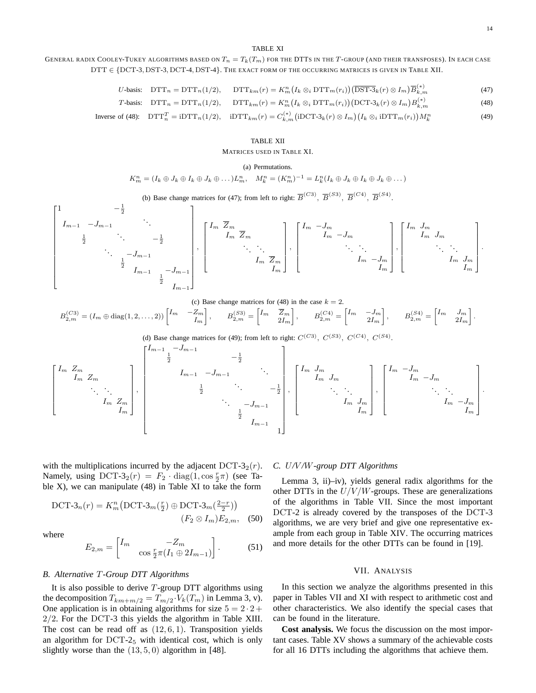.

#### TABLE XI

## GENERAL RADIX COOLEY-TUKEY ALGORITHMS BASED ON  $T_n = T_k(T_m)$  for the DTTs in the T-Group (and their transposes). In each case DTT ∈ {DCT-3, DST-3, DCT-4, DST-4}. THE EXACT FORM OF THE OCCURRING MATRICES IS GIVEN IN TABLE XII.

$$
U\text{-basis: } \text{DTT}_n = \text{DTT}_n(1/2), \quad \text{DTT}_{km}(r) = K_m^n \left(I_k \otimes_i \text{DTT}_m(r_i)\right) \left(\overline{\text{DST-3}}_k(r) \otimes I_m\right) \overline{B}_{k,m}^{(*)} \tag{47}
$$

$$
T\text{-basis: } \text{DTT}_n = \text{DTT}_n(1/2), \quad \text{DTT}_{km}(r) = K_m^n \big(I_k \otimes_i \text{DTT}_m(r_i)\big) \big(\text{DCT-3}_k(r) \otimes I_m\big) B_{k,m}^{(*)} \tag{48}
$$

Inverse of (48): 
$$
DTT_n^T = iDTT_n(1/2)
$$
,  $iDTT_{km}(r) = C_{k,m}^{(*)}(iDCT-3_k(r) \otimes I_m)(I_k \otimes_i iDTT_m(r_i))M_k^n$  (49)

#### TABLE XII

#### MATRICES USED IN TABLE XI.

#### (a) Permutations.

$$
K_m^n = (I_k \oplus J_k \oplus I_k \oplus J_k \oplus \dots) L_m^n, \quad M_k^n = (K_m^n)^{-1} = L_k^n (I_k \oplus J_k \oplus I_k \oplus J_k \oplus \dots)
$$

(b) Base change matrices for (47); from left to right:  $\overline{B}^{(C3)}$ ,  $\overline{B}^{(S3)}$ ,  $\overline{B}^{(C4)}$ ,  $\overline{B}^{(S4)}$ .

$$
\begin{bmatrix} 1 & & & & -\frac{1}{2} & & & & \\ & I_{m-1} & & & & & & \\ & & \frac{1}{2} & & & & & \\ & & & \frac{1}{2} & & & & \\ & & & & \frac{1}{2} & & & \\ & & & & & I_{m-1} & & \\ & & & & & & \frac{1}{2} & I_{m-1} \end{bmatrix}, \begin{bmatrix} I_m & \overline{Z}_m & & & & \\ & I_m & \overline{Z}_m & & & \\ & & \ddots & & & \\ & & & \ddots & & \\ & & & & I_m & \overline{Z}_m \\ & & & & & I_m \end{bmatrix}, \begin{bmatrix} I_m & -J_m & & & & \\ & & I_m & -J_m & & \\ & & & \ddots & & \\ & & & & & I_m & -J_m \\ & & & & & & I_m \end{bmatrix}, \begin{bmatrix} I_m & J_m & & & & \\ & & I_m & J_m & & \\ & & & \ddots & & \\ & & & & & I_m & J_m \\ & & & & & & I_m \end{bmatrix}.
$$

(c) Base change matrices for (48) in the case 
$$
k = 2
$$
.  $B_{2,m}^{(C3)} = (I_m \oplus \text{diag}(1, 2, \ldots, 2)) \begin{bmatrix} I_m & -Z_m \\ & I_m \end{bmatrix}$ ,  $B_{2,m}^{(S3)} = \begin{bmatrix} I_m & \overline{Z}_m \\ & 2I_m \end{bmatrix}$ ,  $B_{2,m}^{(C4)} = \begin{bmatrix} I_m & -J_m \\ & 2I_m \end{bmatrix}$ ,  $B_{2,m}^{(S4)} = \begin{bmatrix} I_m & J_m \\ & 2I_m \end{bmatrix}$ 

(d) Base change matrices for (49); from left to right:  $C^{(C3)}$ ,  $C^{(S3)}$ ,  $C^{(C4)}$ ,  $C^{(S4)}$ .

$$
\begin{bmatrix}\nI_m & Z_m & & & & \\
I_m & Z_m & & & & \\
& \ddots & \ddots & & & \\
& & I_m & Z_m & \\
& & & & I_m\n\end{bmatrix},\n\begin{bmatrix}\nI_{m-1} & -J_{m-1} & & & & \\
& I_{m-1} & -J_{m-1} & & & \\
& & \ddots & \ddots & & \\
& & & & -J_{m-1} & \\
& & & & & \ddots \\
& & & & & & I_m\n\end{bmatrix},\n\begin{bmatrix}\nI_m & J_m & & & & \\
& I_m & J_m & & & \\
& & \ddots & \ddots & & \\
& & & & & I_m\n\end{bmatrix},\n\begin{bmatrix}\nI_m & -J_m & & & & \\
& I_m & -J_m & & & \\
& & \ddots & \ddots & & \\
& & & & & I_m\n\end{bmatrix}.
$$

with the multiplications incurred by the adjacent  $DCT-3<sub>2</sub>(r)$ . Namely, using  $DCT-3_2(r) = F_2 \cdot diag(1, \cos \frac{r}{2}\pi)$  (see Table X), we can manipulate (48) in Table XI to take the form

DCT-3<sub>n</sub>(r) = 
$$
K_m^n(\text{DCT-3}_m(\frac{r}{2}) \oplus \text{DCT-3}_m(\frac{2-r}{2}))
$$
  
( $F_2 \otimes I_m)E_{2,m}$ , (50)

where

$$
E_{2,m} = \begin{bmatrix} I_m & -Z_m \\ & \cos \frac{r}{2} \pi (I_1 \oplus 2I_{m-1}) \end{bmatrix} . \tag{51}
$$

#### *B. Alternative* T*-Group DTT Algorithms*

It is also possible to derive  $T$ -group DTT algorithms using the decomposition  $T_{km+m/2} = T_{m/2} \cdot V_k(T_m)$  in Lemma 3, v). One application is in obtaining algorithms for size  $5 = 2 \cdot 2 +$ 2/2. For the DCT-3 this yields the algorithm in Table XIII. The cost can be read off as  $(12, 6, 1)$ . Transposition yields an algorithm for  $DCT-2<sub>5</sub>$  with identical cost, which is only slightly worse than the  $(13, 5, 0)$  algorithm in [48].

## *C.* U*/*V */*W*-group DTT Algorithms*

Lemma 3, ii)–iv), yields general radix algorithms for the other DTTs in the  $U/V/W$ -groups. These are generalizations of the algorithms in Table VII. Since the most important DCT-2 is already covered by the transposes of the DCT-3 algorithms, we are very brief and give one representative example from each group in Table XIV. The occurring matrices and more details for the other DTTs can be found in [19].

## VII. ANALYSIS

In this section we analyze the algorithms presented in this paper in Tables VII and XI with respect to arithmetic cost and other characteristics. We also identify the special cases that can be found in the literature.

**Cost analysis.** We focus the discussion on the most important cases. Table XV shows a summary of the achievable costs for all 16 DTTs including the algorithms that achieve them.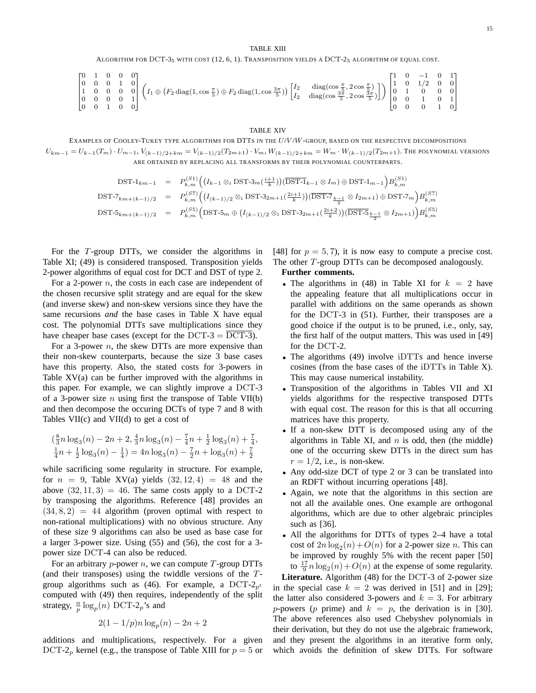ALGORITHM FOR DCT-3<sup>5</sup> WITH COST (12, 6, 1). TRANSPOSITION YIELDS A DCT-2<sup>5</sup> ALGORITHM OF EQUAL COST.

$$
\begin{bmatrix} 0 & 1 & 0 & 0 & 0 \\ 0 & 0 & 0 & 1 & 0 \\ 1 & 0 & 0 & 0 & 0 \\ 0 & 0 & 0 & 0 & 1 \\ 0 & 0 & 1 & 0 & 0 \end{bmatrix} \left( I_1 \oplus \left( F_2 \operatorname{diag}(1, \cos \frac{\pi}{5}) \oplus F_2 \operatorname{diag}(1, \cos \frac{3\pi}{5}) \right) \begin{bmatrix} I_2 & \operatorname{diag}(\cos \frac{\pi}{5}, 2\cos \frac{\pi}{5}) \\ I_2 & \operatorname{diag}(\cos \frac{3\pi}{5}, 2\cos \frac{3\pi}{5}) \end{bmatrix} \right) \begin{bmatrix} 1 & 0 & -1 & 0 & 1 \\ 1 & 0 & 1/2 & 0 & 0 \\ 0 & 1 & 0 & 0 & 0 \\ 0 & 0 & 1 & 0 & 1 \\ 0 & 0 & 0 & 1 & 0 \end{bmatrix}
$$

#### TABLE XIV

EXAMPLES OF COOLEY-TUKEY TYPE ALGORITHMS FOR DTTS IN THE  $U/V/W$ -GROUP, BASED ON THE RESPECTIVE DECOMPOSITIONS  $U_{km-1} = U_{k-1}(T_m) \cdot U_{m-1}, V_{(k-1)/2+km} = V_{(k-1)/2}(T_{2m+1}) \cdot V_m, W_{(k-1)/2+km} = W_m \cdot W_{(k-1)/2}(T_{2m+1}).$  The polynomial versions ARE OBTAINED BY REPLACING ALL TRANSFORMS BY THEIR POLYNOMIAL COUNTERPARTS.

$$
\text{DST-1}_{km-1} = P_{k,m}^{(S1)} \Big( (I_{k-1} \otimes_i \text{DST-3}_m(\frac{i+1}{k})) (\overline{\text{DST-1}}_{k-1} \otimes I_m) \oplus \text{DST-1}_{m-1} \Big) B_{k,m}^{(S1)}
$$
\n
$$
\text{DST-7}_{km+(k-1)/2} = P_{k,m}^{(S7)} \Big( (I_{(k-1)/2} \otimes_i \text{DST-3}_{2m+1}(\frac{2i+1}{k})) (\overline{\text{DST-7}}_{\frac{k-1}{2}} \otimes I_{2m+1}) \oplus \text{DST-7}_m \Big) B_{k,m}^{(S7)}
$$
\n
$$
\text{DST-5}_{km+(k-1)/2} = P_{k,m}^{(S5)} \Big( \text{DST-5}_m \oplus (I_{(k-1)/2} \otimes_i \text{DST-3}_{2m+1}(\frac{2i+2}{k})) (\overline{\text{DST-5}}_{\frac{k-1}{2}} \otimes I_{2m+1}) \Big) B_{k,m}^{(S5)}
$$

For the T-group DTTs, we consider the algorithms in Table XI; (49) is considered transposed. Transposition yields 2-power algorithms of equal cost for DCT and DST of type 2.

For a 2-power  $n$ , the costs in each case are independent of the chosen recursive split strategy and are equal for the skew (and inverse skew) and non-skew versions since they have the same recursions *and* the base cases in Table X have equal cost. The polynomial DTTs save multiplications since they have cheaper base cases (except for the DCT-3 = DCT-3).

For a 3-power  $n$ , the skew DTTs are more expensive than their non-skew counterparts, because the size 3 base cases have this property. Also, the stated costs for 3-powers in Table XV(a) can be further improved with the algorithms in this paper. For example, we can slightly improve a DCT-3 of a 3-power size *n* using first the transpose of Table VII(b) and then decompose the occuring DCTs of type 7 and 8 with Tables VII(c) and VII(d) to get a cost of

$$
\left(\frac{8}{3}n\log_3(n) - 2n + 2, \frac{4}{3}n\log_3(n) - \frac{7}{4}n + \frac{1}{2}\log_3(n) + \frac{7}{4}, \frac{1}{4}n + \frac{1}{2}\log_3(n) - \frac{1}{4}\right) = 4n\log_3(n) - \frac{7}{2}n + \log_3(n) + \frac{7}{2}
$$

while sacrificing some regularity in structure. For example, for  $n = 9$ , Table XV(a) yields  $(32, 12, 4) = 48$  and the above  $(32, 11, 3) = 46$ . The same costs apply to a DCT-2 by transposing the algorithms. Reference [48] provides an  $(34, 8, 2) = 44$  algorithm (proven optimal with respect to non-rational multiplications) with no obvious structure. Any of these size 9 algorithms can also be used as base case for a larger 3-power size. Using (55) and (56), the cost for a 3 power size DCT-4 can also be reduced.

For an arbitrary *p*-power *n*, we can compute  $T$ -group DTTs (and their transposes) using the twiddle versions of the Tgroup algorithms such as (46). For example, a DCT- $2p<sub>t</sub>$ computed with (49) then requires, independently of the split strategy,  $\frac{n}{p} \log_p(n)$  DCT-2<sub>p</sub>'s and

$$
2(1 - 1/p)n \log_p(n) - 2n + 2
$$

additions and multiplications, respectively. For a given DCT-2<sub>p</sub> kernel (e.g., the transpose of Table XIII for  $p = 5$  or [48] for  $p = 5, 7$ , it is now easy to compute a precise cost. The other T-group DTTs can be decomposed analogously.

## **Further comments.**

- The algorithms in (48) in Table XI for  $k = 2$  have the appealing feature that all multiplications occur in parallel with additions on the same operands as shown for the DCT-3 in (51). Further, their transposes are a good choice if the output is to be pruned, i.e., only, say, the first half of the output matters. This was used in [49] for the DCT-2.
- The algorithms (49) involve iDTTs and hence inverse cosines (from the base cases of the iDTTs in Table X). This may cause numerical instability.
- Transposition of the algorithms in Tables VII and XI yields algorithms for the respective transposed DTTs with equal cost. The reason for this is that all occurring matrices have this property.
- If a non-skew DTT is decomposed using any of the algorithms in Table XI, and  $n$  is odd, then (the middle) one of the occurring skew DTTs in the direct sum has  $r = 1/2$ , i.e., is non-skew.
- Any odd-size DCT of type 2 or 3 can be translated into an RDFT without incurring operations [48].
- Again, we note that the algorithms in this section are not all the available ones. One example are orthogonal algorithms, which are due to other algebraic principles such as [36].
- All the algorithms for DTTs of types 2–4 have a total cost of  $2n \log_2(n) + O(n)$  for a 2-power size *n*. This can be improved by roughly 5% with the recent paper [50] to  $\frac{17}{9}n \log_2(n) + O(n)$  at the expense of some regularity.

**Literature.** Algorithm (48) for the DCT-3 of 2-power size in the special case  $k = 2$  was derived in [51] and in [29]; the latter also considered 3-powers and  $k = 3$ . For arbitrary p-powers (p prime) and  $k = p$ , the derivation is in [30]. The above references also used Chebyshev polynomials in their derivation, but they do not use the algebraic framework, and they present the algorithms in an iterative form only, which avoids the definition of skew DTTs. For software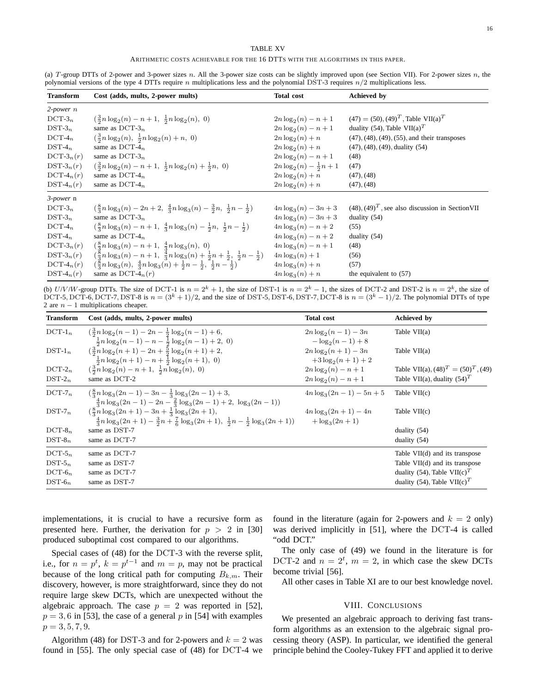## TABLE XV

ARITHMETIC COSTS ACHIEVABLE FOR THE 16 DTTS WITH THE ALGORITHMS IN THIS PAPER.

(a) T-group DTTs of 2-power and 3-power sizes n. All the 3-power size costs can be slightly improved upon (see Section VII). For 2-power sizes n, the polynomial versions of the type 4 DTTs require  $n$  multiplications less and the polynomial DST-3 requires  $n/2$  multiplications less.

| <b>Transform</b> | Cost (adds, mults, 2-power mults)                                                                                    | <b>Total cost</b>                 | <b>Achieved</b> by                                       |
|------------------|----------------------------------------------------------------------------------------------------------------------|-----------------------------------|----------------------------------------------------------|
| $2$ -power $n$   |                                                                                                                      |                                   |                                                          |
| $DCT-3_n$        | $\left(\frac{3}{2}n\log_2(n)-n+1,\ \frac{1}{2}n\log_2(n),\ 0\right)$                                                 | $2n \log_2(n) - n + 1$            | $(47) = (50), (49)T$ , Table VII(a) <sup>T</sup>         |
| $DST-3_n$        | same as $DCT-3n$                                                                                                     | $2n \log_2(n) - n + 1$            | duality (54), Table VII(a) <sup>T</sup>                  |
| $DCT-4n$         | $\left(\frac{3}{2}n\log_2(n), \frac{1}{2}n\log_2(n) + n, 0\right)$                                                   | $2n \log_2(n) + n$                | $(47)$ , $(48)$ , $(49)$ , $(55)$ , and their transposes |
| $DST-4_n$        | same as $DCT-4n$                                                                                                     | $2n \log_2(n) + n$                | $(47)$ , $(48)$ , $(49)$ , duality $(54)$                |
| $DCT-3n(r)$      | same as $DCT-3n$                                                                                                     | $2n \log_2(n) - n + 1$            | (48)                                                     |
| $DST-3_n(r)$     | $\left(\frac{3}{2}n\log_2(n)-n+1,\ \frac{1}{2}n\log_2(n)+\frac{1}{2}n,\ 0\right)$                                    | $2n \log_2(n) - \frac{1}{2}n + 1$ | (47)                                                     |
| $DCT-4n(r)$      | same as $DCT-4n$                                                                                                     | $2n \log_2(n) + n$                | $(47)$ , $(48)$                                          |
| $DST-4_n(r)$     | same as $DCT-4n$                                                                                                     | $2n \log_2(n) + n$                | $(47)$ , $(48)$                                          |
| 3-power n        |                                                                                                                      |                                   |                                                          |
| $DCT-3_n$        | $\left(\frac{8}{3}n\log_3(n)-2n+2,\ \frac{4}{3}n\log_3(n)-\frac{3}{2}n,\ \frac{1}{2}n-\frac{1}{2}\right)$            | $4n \log_3(n) - 3n + 3$           | $(48)$ , $(49)^T$ , see also discussion in Section VII   |
| $DST-3_n$        | same as $DCT-3n$                                                                                                     | $4n \log_3(n) - 3n + 3$           | duality $(54)$                                           |
| $DCT-4_n$        | $\left(\frac{8}{3}n\log_3(n)-n+1,\ \frac{4}{3}n\log_3(n)-\frac{1}{2}n,\ \frac{1}{2}n-\frac{1}{2}\right)$             | $4n \log_3(n) - n + 2$            | (55)                                                     |
| $DST-4_n$        | same as $DCT-4_n$                                                                                                    | $4n \log_3(n) - n + 2$            | duality $(54)$                                           |
| $DCT-3n(r)$      | $\left(\frac{8}{3}n\log_3(n)-n+1,\ \frac{4}{3}n\log_3(n),\ 0\right)$                                                 | $4n \log_3(n) - n + 1$            | (48)                                                     |
| $DST-3_n(r)$     | $\left(\frac{8}{3}n\log_3(n)-n+1,\ \frac{4}{3}n\log_3(n)+\frac{1}{2}n+\frac{1}{2},\ \frac{1}{2}n-\frac{1}{2}\right)$ | $4n \log_3(n) + 1$                | (56)                                                     |
| $DCT-4n(r)$      | $\left(\frac{8}{3}n\log_3(n), \frac{4}{3}n\log_3(n) + \frac{1}{2}n - \frac{1}{2}, \frac{1}{2}n - \frac{1}{2}\right)$ | $4n \log_3(n) + n$                | (57)                                                     |
| $DST-4n(r)$      | same as DCT-4 $_n(r)$                                                                                                | $4n \log_3(n) + n$                | the equivalent to $(57)$                                 |

(b) U/V/W-group DTTs. The size of DCT-1 is  $n = 2^k + 1$ , the size of DST-1 is  $n = 2^k - 1$ , the sizes of DCT-2 and DST-2 is  $n = 2^k$ , the size of DCT-5, DCT-6, DCT-7, DST-8 is  $n = (3<sup>k</sup> + 1)/2$ , and the size of DST-5, DST-6, DST-7, DCT-8 is  $n = (3<sup>k</sup> - 1)/2$ . The polynomial DTTs of type 2 are  $n - 1$  multiplications cheaper.

| <b>Transform</b> | Cost (adds, mults, 2-power mults)                                                                                                     | <b>Total cost</b>                           | <b>Achieved</b> by                         |
|------------------|---------------------------------------------------------------------------------------------------------------------------------------|---------------------------------------------|--------------------------------------------|
| $DCT-1n$         | $\left(\frac{3}{2}n\log_2(n-1)-2n-\frac{1}{2}\log_2(n-1)+6\right)$                                                                    | $2n \log_2(n-1) - 3n$                       | Table $VII(a)$                             |
|                  | $\frac{1}{2}n \log_2(n-1) - n - \frac{1}{2} \log_2(n-1) + 2$ , 0)                                                                     | $-\log_2(n-1)+8$                            |                                            |
| $DST-1_n$        | $\left(\frac{3}{2}n\log_2(n+1)-2n+\frac{5}{2}\log_2(n+1)+2\right)$                                                                    | $2n \log_2(n+1) - 3n$                       | Table $VII(a)$                             |
| $DCT-2n$         | $\frac{1}{2}n \log_2(n+1) - n + \frac{1}{2} \log_2(n+1)$ , 0)<br>$\left(\frac{3}{2}n\log_2(n)-n+1,\ \frac{1}{2}n\log_2(n),\ 0\right)$ | $+3\log_2(n+1)+2$<br>$2n \log_2(n) - n + 1$ | Table VII(a), $(48)^{T} = (50)^{T}$ , (49) |
| $DST-2_n$        | same as DCT-2                                                                                                                         | $2n \log_2(n) - n + 1$                      | Table VII(a), duality $(54)^T$             |
| $DCT-7n$         | $\frac{8}{2}n \log_3(2n-1) - 3n - \frac{1}{2} \log_3(2n-1) + 3,$                                                                      | $4n \log_3(2n-1) - 5n + 5$                  | Table $VII(c)$                             |
|                  | $\frac{4}{3}n\log_3(2n-1)-2n-\frac{2}{3}\log_3(2n-1)+2, \ \log_3(2n-1))$                                                              |                                             |                                            |
| $DST-7_n$        | $\left(\frac{8}{2}n\log_3(2n+1)-3n+\frac{1}{2}\log_3(2n+1)\right)$                                                                    | $4n \log_3(2n+1) - 4n$                      | Table $VII(c)$                             |
|                  | $\frac{4}{3}n \log_3(2n+1) - \frac{3}{2}n + \frac{7}{6} \log_3(2n+1), \frac{1}{2}n - \frac{1}{2} \log_3(2n+1))$                       | $+\log_3(2n+1)$                             |                                            |
| $DCT-8n$         | same as DST-7                                                                                                                         |                                             | duality $(54)$                             |
| $DST-8n$         | same as DCT-7                                                                                                                         |                                             | duality $(54)$                             |
| $DCT-5n$         | same as DCT-7                                                                                                                         |                                             | Table VII(d) and its transpose             |
| $\text{DST-5}_n$ | same as DST-7                                                                                                                         |                                             | Table VII(d) and its transpose             |
| $DCT-6n$         | same as DCT-7                                                                                                                         |                                             | duality (54), Table VII(c) <sup>T</sup>    |
| $DST-6n$         | same as DST-7                                                                                                                         |                                             | duality (54), Table VII(c) <sup>T</sup>    |

implementations, it is crucial to have a recursive form as presented here. Further, the derivation for  $p > 2$  in [30] produced suboptimal cost compared to our algorithms.

Special cases of (48) for the DCT-3 with the reverse split, i.e., for  $n = p^t$ ,  $k = p^{t-1}$  and  $m = p$ , may not be practical because of the long critical path for computing  $B_{k,m}$ . Their discovery, however, is more straightforward, since they do not require large skew DCTs, which are unexpected without the algebraic approach. The case  $p = 2$  was reported in [52],  $p = 3, 6$  in [53], the case of a general p in [54] with examples  $p = 3, 5, 7, 9.$ 

Algorithm (48) for DST-3 and for 2-powers and  $k = 2$  was found in [55]. The only special case of (48) for DCT-4 we found in the literature (again for 2-powers and  $k = 2$  only) was derived implicitly in [51], where the DCT-4 is called "odd DCT."

The only case of (49) we found in the literature is for DCT-2 and  $n = 2^t$ ,  $m = 2$ , in which case the skew DCTs become trivial [56].

All other cases in Table XI are to our best knowledge novel.

## VIII. CONCLUSIONS

We presented an algebraic approach to deriving fast transform algorithms as an extension to the algebraic signal processing theory (ASP). In particular, we identified the general principle behind the Cooley-Tukey FFT and applied it to derive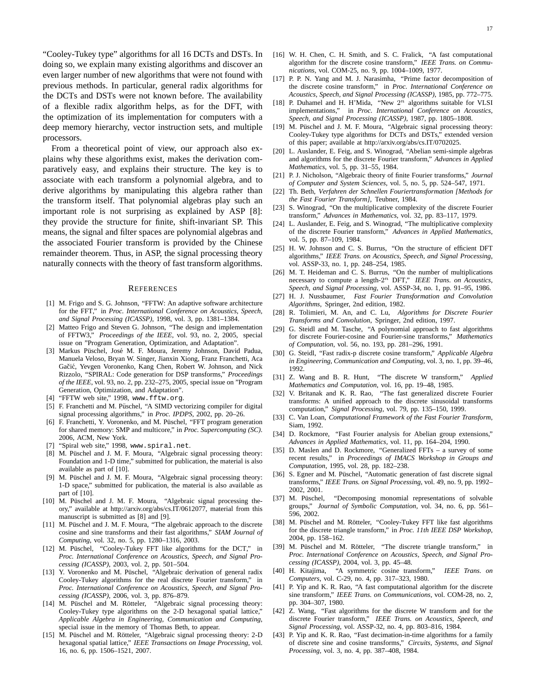"Cooley-Tukey type" algorithms for all 16 DCTs and DSTs. In doing so, we explain many existing algorithms and discover an even larger number of new algorithms that were not found with previous methods. In particular, general radix algorithms for the DCTs and DSTs were not known before. The availability of a flexible radix algorithm helps, as for the DFT, with the optimization of its implementation for computers with a deep memory hierarchy, vector instruction sets, and multiple processors.

From a theoretical point of view, our approach also explains why these algorithms exist, makes the derivation comparatively easy, and explains their structure. The key is to associate with each transform a polynomial algebra, and to derive algorithms by manipulating this algebra rather than the transform itself. That polynomial algebras play such an important role is not surprising as explained by ASP [8]: they provide the structure for finite, shift-invariant SP. This means, the signal and filter spaces are polynomial algebras and the associated Fourier transform is provided by the Chinese remainder theorem. Thus, in ASP, the signal processing theory naturally connects with the theory of fast transform algorithms.

## **REFERENCES**

- [1] M. Frigo and S. G. Johnson, "FFTW: An adaptive software architecture for the FFT," in *Proc. International Conference on Acoustics, Speech, and Signal Processing (ICASSP)*, 1998, vol. 3, pp. 1381–1384.
- [2] Matteo Frigo and Steven G. Johnson, "The design and implementation of FFTW3," *Proceedings of the IEEE*, vol. 93, no. 2, 2005, special issue on "Program Generation, Optimization, and Adaptation".
- [3] Markus Püschel, José M. F. Moura, Jeremy Johnson, David Padua, Manuela Veloso, Bryan W. Singer, Jianxin Xiong, Franz Franchetti, Aca Gačić, Yevgen Voronenko, Kang Chen, Robert W. Johnson, and Nick Rizzolo, "SPIRAL: Code generation for DSP transforms," *Proceedings of the IEEE*, vol. 93, no. 2, pp. 232–275, 2005, special issue on "Program Generation, Optimization, and Adaptation".
- [4] "FFTW web site," 1998, www.fftw.org.
- [5] F. Franchetti and M. Püschel, "A SIMD vectorizing compiler for digital signal processing algorithms," in *Proc. IPDPS*, 2002, pp. 20–26.
- [6] F. Franchetti, Y. Voronenko, and M. Püschel, "FFT program generation for shared memory: SMP and multicore," in *Proc. Supercomputing (SC)*. 2006, ACM, New York.
- [7] "Spiral web site," 1998, www.spiral.net.
- [8] M. Püschel and J. M. F. Moura, "Algebraic signal processing theory: Foundation and 1-D time," submitted for publication, the material is also available as part of [10].
- [9] M. Püschel and J. M. F. Moura, "Algebraic signal processing theory: 1-D space," submitted for publication, the material is also available as part of [10].
- [10] M. Püschel and J. M. F. Moura, "Algebraic signal processing theory," available at http://arxiv.org/abs/cs.IT/0612077, material from this manuscript is submitted as [8] and [9].
- [11] M. Püschel and J. M. F. Moura, "The algebraic approach to the discrete cosine and sine transforms and their fast algorithms," *SIAM Journal of Computing*, vol. 32, no. 5, pp. 1280–1316, 2003.
- [12] M. Püschel, "Cooley-Tukey FFT like algorithms for the DCT," in *Proc. International Conference on Acoustics, Speech, and Signal Processing (ICASSP)*, 2003, vol. 2, pp. 501–504.
- [13] Y. Voronenko and M. Püschel, "Algebraic derivation of general radix Cooley-Tukey algorithms for the real discrete Fourier transform," in *Proc. International Conference on Acoustics, Speech, and Signal Processing (ICASSP)*, 2006, vol. 3, pp. 876–879.
- [14] M. Püschel and M. Rötteler, "Algebraic signal processing theory: Cooley-Tukey type algorithms on the 2-D hexagonal spatial lattice," *Applicable Algebra in Engineering, Communication and Computing*, special issue in the memory of Thomas Beth, to appear.
- [15]  $\hat{M}$ . Püschel and M. Rötteler, "Algebraic signal processing theory: 2-D hexagonal spatial lattice," *IEEE Transactions on Image Processing*, vol. 16, no. 6, pp. 1506–1521, 2007.
- [16] W. H. Chen, C. H. Smith, and S. C. Fralick, "A fast computational algorithm for the discrete cosine transform," *IEEE Trans. on Communications*, vol. COM-25, no. 9, pp. 1004–1009, 1977.
- [17] P. P. N. Yang and M. J. Narasimha, "Prime factor decomposition of the discrete cosine transform," in *Proc. International Conference on Acoustics, Speech, and Signal Processing (ICASSP)*, 1985, pp. 772–775.
- [18] P. Duhamel and H. H'Mida, "New  $2^n$  algorithms suitable for VLSI implementations," in *Proc. International Conference on Acoustics, Speech, and Signal Processing (ICASSP)*, 1987, pp. 1805–1808.
- [19] M. Püschel and J. M. F. Moura, "Algebraic signal processing theory: Cooley-Tukey type algorithms for DCTs and DSTs," extended version of this paper; available at http://arxiv.org/abs/cs.IT/0702025.
- [20] L. Auslander, E. Feig, and S. Winograd, "Abelian semi-simple algebras and algorithms for the discrete Fourier transform," *Advances in Applied Mathematics*, vol. 5, pp. 31–55, 1984.
- [21] P. J. Nicholson, "Algebraic theory of finite Fourier transforms," *Journal of Computer and System Sciences*, vol. 5, no. 5, pp. 524–547, 1971.
- [22] Th. Beth, *Verfahren der Schnellen Fouriertransformation [Methods for the Fast Fourier Transform]*, Teubner, 1984.
- [23] S. Winograd, "On the multiplicative complexity of the discrete Fourier transform," *Advances in Mathematics*, vol. 32, pp. 83–117, 1979.
- [24] L. Auslander, E. Feig, and S. Winograd, "The multiplicative complexity of the discrete Fourier transform," *Advances in Applied Mathematics*, vol. 5, pp. 87–109, 1984.
- [25] H. W. Johnson and C. S. Burrus, "On the structure of efficient DFT algorithms," *IEEE Trans. on Acoustics, Speech, and Signal Processing*, vol. ASSP-33, no. 1, pp. 248–254, 1985.
- [26] M. T. Heideman and C. S. Burrus, "On the number of multiplications necessary to compute a length-2 <sup>n</sup> DFT," *IEEE Trans. on Acoustics, Speech, and Signal Processing*, vol. ASSP-34, no. 1, pp. 91–95, 1986.
- [27] H. J. Nussbaumer, *Fast Fourier Transformation and Convolution Algorithms*, Springer, 2nd edition, 1982.
- [28] R. Tolimieri, M. An, and C. Lu, *Algorithms for Discrete Fourier Transforms and Convolution*, Springer, 2nd edition, 1997.
- [29] G. Steidl and M. Tasche, "A polynomial approach to fast algorithms for discrete Fourier-cosine and Fourier-sine transforms," *Mathematics of Computation*, vol. 56, no. 193, pp. 281–296, 1991.
- [30] G. Steidl, "Fast radix-p discrete cosine transform," *Applicable Algebra in Engineering, Communication and Computing*, vol. 3, no. 1, pp. 39–46, 1992.
- [31] Z. Wang and B. R. Hunt, "The discrete W transform," *Applied Mathematics and Computation*, vol. 16, pp. 19–48, 1985.
- [32] V. Britanak and K. R. Rao, "The fast generalized discrete Fourier transforms: A unified approach to the discrete sinusoidal transforms computation," *Signal Processing*, vol. 79, pp. 135–150, 1999.
- [33] C. Van Loan, *Computational Framework of the Fast Fourier Transform*, Siam, 1992.
- [34] D. Rockmore, "Fast Fourier analysis for Abelian group extensions," *Advances in Applied Mathematics*, vol. 11, pp. 164–204, 1990.
- [35] D. Maslen and D. Rockmore, "Generalized FFTs a survey of some recent results," in *Proceedings of IMACS Workshop in Groups and Computation*, 1995, vol. 28, pp. 182–238.
- [36] S. Egner and M. Püschel, "Automatic generation of fast discrete signal transforms," *IEEE Trans. on Signal Processing*, vol. 49, no. 9, pp. 1992– 2002, 2001.
- [37] M. Püschel, "Decomposing monomial representations of solvable groups," *Journal of Symbolic Computation*, vol. 34, no. 6, pp. 561– 596, 2002.
- [38] M. Püschel and M. Rötteler, "Cooley-Tukey FFT like fast algorithms for the discrete triangle transform," in *Proc. 11th IEEE DSP Workshop*, 2004, pp. 158–162.
- [39] M. Püschel and M. Rötteler, "The discrete triangle transform," in *Proc. International Conference on Acoustics, Speech, and Signal Processing (ICASSP)*, 2004, vol. 3, pp. 45–48.
- [40] H. Kitajima, "A symmetric cosine transform," *IEEE Trans. on Computers*, vol. C-29, no. 4, pp. 317–323, 1980.
- [41] P. Yip and K. R. Rao, "A fast computational algorithm for the discrete sine transform," *IEEE Trans. on Communications*, vol. COM-28, no. 2, pp. 304–307, 1980.
- [42] Z. Wang, "Fast algorithms for the discrete W transform and for the discrete Fourier transform," *IEEE Trans. on Acoustics, Speech, and Signal Processing*, vol. ASSP-32, no. 4, pp. 803–816, 1984.
- [43] P. Yip and K. R. Rao, "Fast decimation-in-time algorithms for a family of discrete sine and cosine transforms," *Circuits, Systems, and Signal Processing*, vol. 3, no. 4, pp. 387–408, 1984.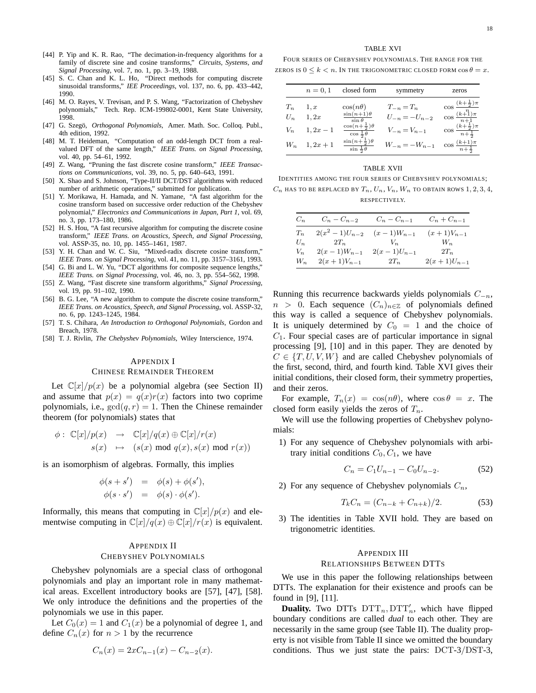- [44] P. Yip and K. R. Rao, "The decimation-in-frequency algorithms for a family of discrete sine and cosine transforms," *Circuits, Systems, and Signal Processing*, vol. 7, no. 1, pp. 3–19, 1988.
- [45] S. C. Chan and K. L. Ho, "Direct methods for computing discrete sinusoidal transforms," *IEE Proceedings*, vol. 137, no. 6, pp. 433–442, 1990.
- [46] M. O. Rayes, V. Trevisan, and P. S. Wang, "Factorization of Chebyshev polynomials," Tech. Rep. ICM-199802-0001, Kent State University, 1998.
- [47] G. Szegö, Orthogonal Polynomials, Amer. Math. Soc. Colloq. Publ., 4th edition, 1992.
- [48] M. T. Heideman, "Computation of an odd-length DCT from a realvalued DFT of the same length," *IEEE Trans. on Signal Processing*, vol. 40, pp. 54–61, 1992.
- [49] Z. Wang, "Pruning the fast discrete cosine transform," *IEEE Transactions on Communications*, vol. 39, no. 5, pp. 640–643, 1991.
- [50] X. Shao and S. Johnson, "Type-II/II DCT/DST algorithms with reduced number of arithmetic operations," submitted for publication.
- [51] Y. Morikawa, H. Hamada, and N. Yamane, "A fast algorithm for the cosine transform based on successive order reduction of the Chebyshev polynomial," *Electronics and Communications in Japan, Part 1*, vol. 69, no. 3, pp. 173–180, 1986.
- [52] H. S. Hou, "A fast recursive algorithm for computing the discrete cosine transform," *IEEE Trans. on Acoustics, Speech, and Signal Processing*, vol. ASSP-35, no. 10, pp. 1455–1461, 1987.
- [53] Y. H. Chan and W. C. Siu, "Mixed-radix discrete cosine transform," *IEEE Trans. on Signal Processing*, vol. 41, no. 11, pp. 3157–3161, 1993.
- [54] G. Bi and L. W. Yu, "DCT algorithms for composite sequence lengths," *IEEE Trans. on Signal Processing*, vol. 46, no. 3, pp. 554–562, 1998.
- [55] Z. Wang, "Fast discrete sine transform algorithms," *Signal Processing*, vol. 19, pp. 91–102, 1990.
- [56] B. G. Lee, "A new algorithm to compute the discrete cosine transform," *IEEE Trans. on Acoustics, Speech, and Signal Processing*, vol. ASSP-32, no. 6, pp. 1243–1245, 1984.
- [57] T. S. Chihara, *An Introduction to Orthogonal Polynomials*, Gordon and Breach, 1978.
- [58] T. J. Rivlin, *The Chebyshev Polynomials*, Wiley Interscience, 1974.

#### APPENDIX I

#### CHINESE REMAINDER THEOREM

Let  $\mathbb{C}[x]/p(x)$  be a polynomial algebra (see Section II) and assume that  $p(x) = q(x)r(x)$  factors into two coprime polynomials, i.e.,  $gcd(q, r) = 1$ . Then the Chinese remainder theorem (for polynomials) states that

$$
\begin{array}{rcl}\n\phi: \hspace{0.2cm}{\mathbb C}[x]/p(x) & \to & {\mathbb C}[x]/q(x) \oplus {\mathbb C}[x]/r(x) \\
s(x) & \mapsto & (s(x) \hspace{0.2cm} \text{mod} \hspace{0.2cm} q(x), s(x) \hspace{0.2cm} \text{mod} \hspace{0.2cm} r(x))\n\end{array}
$$

is an isomorphism of algebras. Formally, this implies

$$
\begin{array}{rcl}\n\phi(s+s') & = & \phi(s) + \phi(s'), \\
\phi(s \cdot s') & = & \phi(s) \cdot \phi(s').\n\end{array}
$$

Informally, this means that computing in  $\mathbb{C}[x]/p(x)$  and elementwise computing in  $\mathbb{C}[x]/q(x) \oplus \mathbb{C}[x]/r(x)$  is equivalent.

## APPENDIX II CHEBYSHEV POLYNOMIALS

Chebyshev polynomials are a special class of orthogonal polynomials and play an important role in many mathematical areas. Excellent introductory books are [57], [47], [58]. We only introduce the definitions and the properties of the polynomials we use in this paper.

Let  $C_0(x) = 1$  and  $C_1(x)$  be a polynomial of degree 1, and define  $C_n(x)$  for  $n > 1$  by the recurrence

$$
C_n(x) = 2xC_{n-1}(x) - C_{n-2}(x).
$$

## TABLE XVI

FOUR SERIES OF CHEBYSHEV POLYNOMIALS. THE RANGE FOR THE ZEROS IS  $0 \leq k \leq n$ . In the TrigONOMETRIC CLOSED FORM  $\cos \theta = x$ .

|       | $n = 0, 1$        | closed form                                                         | symmetry            | zeros                                           |
|-------|-------------------|---------------------------------------------------------------------|---------------------|-------------------------------------------------|
| $T_n$ | 1, x              | $\cos(n\theta)$                                                     | $T_{-n}=T_n$        | $\cos\frac{(k+\frac{1}{2})\pi}{k}$              |
| $U_n$ | 1,2x              | $\frac{\sin(n+1)\theta}{\sin\theta}$                                | $U_{-n} = -U_{n-2}$ | $\cos \frac{(k+1)\pi}{n+1}$                     |
| $V_n$ | $1, 2x - 1$       | $\cos\left(n+\frac{1}{2}\right)\theta$<br>$\cos \frac{1}{2} \theta$ | $V_{-n} = V_{n-1}$  | $\cos \frac{(k+\frac{1}{2})\pi}{n+\frac{1}{2}}$ |
|       | $W_n$ 1, $2x + 1$ | $\sin\left(n+\frac{1}{2}\right)\theta$<br>$\sin \frac{1}{2} \theta$ | $W_{-n} = -W_{n-1}$ | $\cos \frac{(k+1)\pi}{n+\frac{1}{2}}$           |

#### TABLE XVII

IDENTITIES AMONG THE FOUR SERIES OF CHEBYSHEV POLYNOMIALS;  $C_n$  has to be replaced by  $T_n$ ,  $U_n$ ,  $V_n$ ,  $W_n$  to obtain rows 1, 2, 3, 4, RESPECTIVELY.

| $C_n$ | $C_n - C_{n-2}$   | $C_n - C_{n-1}$ | $C_n + C_{n-1}$ |
|-------|-------------------|-----------------|-----------------|
| $T_n$ | $2(x^2-1)U_{n-2}$ | $(x-1)W_{n-1}$  | $(x+1)V_{n-1}$  |
| $U_n$ | $2T_n$            | $V_n$           | $W_n$           |
| $V_n$ | $2(x-1)W_{n-1}$   | $2(x-1)U_{n-1}$ | $2T_n$          |
| $W_n$ | $2(x+1)V_{n-1}$   | $2T_n$          | $2(x+1)U_{n-1}$ |

Running this recurrence backwards yields polynomials  $C_{-n}$ ,  $n > 0$ . Each sequence  $(C_n)_{n \in \mathbb{Z}}$  of polynomials defined this way is called a sequence of Chebyshev polynomials. It is uniquely determined by  $C_0 = 1$  and the choice of  $C_1$ . Four special cases are of particular importance in signal processing [9], [10] and in this paper. They are denoted by  $C \in \{T, U, V, W\}$  and are called Chebyshev polynomials of the first, second, third, and fourth kind. Table XVI gives their initial conditions, their closed form, their symmetry properties, and their zeros.

For example,  $T_n(x) = \cos(n\theta)$ , where  $\cos \theta = x$ . The closed form easily yields the zeros of  $T_n$ .

We will use the following properties of Chebyshev polynomials:

1) For any sequence of Chebyshev polynomials with arbitrary initial conditions  $C_0, C_1$ , we have

$$
C_n = C_1 U_{n-1} - C_0 U_{n-2}.
$$
 (52)

2) For any sequence of Chebyshev polynomials  $C_n$ ,

$$
T_k C_n = (C_{n-k} + C_{n+k})/2.
$$
 (53)

3) The identities in Table XVII hold. They are based on trigonometric identities.

## APPENDIX III

## RELATIONSHIPS BETWEEN DTTS

We use in this paper the following relationships between DTTs. The explanation for their existence and proofs can be found in [9], [11].

**Duality.** Two DTTs  $DTT_n, DTT'_n$ , which have flipped boundary conditions are called *dual* to each other. They are necessarily in the same group (see Table II). The duality property is not visible from Table II since we omitted the boundary conditions. Thus we just state the pairs: DCT-3/DST-3,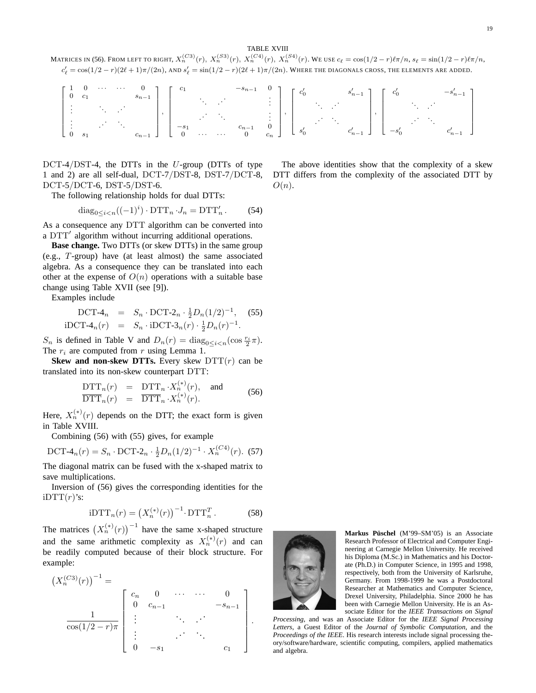TABLE XVIII

MATRICES IN (56). FROM LEFT TO RIGHT,  $X_n^{(C3)}(r),~X_n^{(S3)}(r),~X_n^{(C4)}(r),~X_n^{(S4)}(r).$  We use  $c_\ell=\cos(1/2-r)\ell\pi/n,$   $s_\ell=\sin(1/2-r)\ell\pi/n,$  $c'_\ell=\cos(1/2-r)(2\ell+1)\pi/(2n)$ , and  $s'_\ell=\sin(1/2-r)(2\ell+1)\pi/(2n)$ . Where the diagonals cross, the elements are added.

|  |  |  |  |  |  | $\left[\begin{array}{cccccc} 1 & 0 & \cdots & \cdots & 0 \\ 0 & c_1 & & & & \\ \vdots & & & & & \\ \vdots & & & & & \\ \vdots & & & & & \\ 0 & s_1 & & & & \\ \end{array}\right],\, \left[\begin{array}{cccccc} c_1 & & & & -s_{n-1} & 0 \\ & \ddots & & & & \vdots \\ & & & & & \\ \vdots & & & & & \\ -s_1 & & & & & \\ 0 & \cdots & \cdots & 0 & c_n \end{array}\right],\, \left[\begin{array}{cccccc} c'_0 & & & & & -s'_{n-1} \\ & \ddots & & & & \\ \vdots & & & & & \\$ |  |  |  |  |
|--|--|--|--|--|--|--------------------------------------------------------------------------------------------------------------------------------------------------------------------------------------------------------------------------------------------------------------------------------------------------------------------------------------------------------------------------------------------------------------------------------------------------------------------------------|--|--|--|--|
|  |  |  |  |  |  |                                                                                                                                                                                                                                                                                                                                                                                                                                                                                |  |  |  |  |

 $DCT-4/DST-4$ , the DTTs in the U-group (DTTs of type 1 and 2) are all self-dual, DCT-7/DST-8, DST-7/DCT-8, DCT-5/DCT-6, DST-5/DST-6.

The following relationship holds for dual DTTs:

$$
\mathrm{diag}_{0 \le i < n}((-1)^i) \cdot \mathrm{DTT}_n \cdot J_n = \mathrm{DTT}'_n. \tag{54}
$$

As a consequence any DTT algorithm can be converted into a DTT′ algorithm without incurring additional operations.

**Base change.** Two DTTs (or skew DTTs) in the same group (e.g., T-group) have (at least almost) the same associated algebra. As a consequence they can be translated into each other at the expense of  $O(n)$  operations with a suitable base change using Table XVII (see [9]).

Examples include

DCT-4<sub>n</sub> = 
$$
S_n \cdot
$$
 DCT-2<sub>n</sub>  $\cdot \frac{1}{2}D_n(1/2)^{-1}$ , (55)  
iDCT-4<sub>n</sub>(r) =  $S_n \cdot$ iDCT-3<sub>n</sub>(r)  $\cdot \frac{1}{2}D_n(r)^{-1}$ .

 $S_n$  is defined in Table V and  $D_n(r) = \text{diag}_{0 \le i < n} (\cos \frac{r_i}{2} \pi)$ . The  $r_i$  are computed from r using Lemma 1.

**Skew and non-skew DTTs.** Every skew  $DTT(r)$  can be translated into its non-skew counterpart DTT:

$$
\frac{\text{DTT}_n(r)}{\text{DTT}_n(r)} = \frac{\text{DTT}_n \cdot X_n^{(*)}(r)}{\text{DTT}_n \cdot X_n^{(*)}(r)}.
$$
 and (56)

Here,  $X_n^{(*)}(r)$  depends on the DTT; the exact form is given in Table XVIII.

Combining (56) with (55) gives, for example

DCT-4<sub>n</sub>(r) = S<sub>n</sub> · DCT-2<sub>n</sub> · 
$$
\frac{1}{2}D_n(1/2)^{-1} \cdot X_n^{(C4)}(r)
$$
. (57)

The diagonal matrix can be fused with the x-shaped matrix to save multiplications.

Inversion of (56) gives the corresponding identities for the  $iDTT(r)$ 's:

$$
iDTT_n(r) = \left(X_n^{(*)}(r)\right)^{-1} \cdot DTT_n^T.
$$
 (58)

The matrices  $(X_n^{(*)}(r))^{-1}$  have the same x-shaped structure and the same arithmetic complexity as  $X_n^{(*)}(r)$  and can be readily computed because of their block structure. For example:

$$
(X_n^{(C3)}(r))^{-1} = \begin{bmatrix} c_n & 0 & \cdots & \cdots & 0 \\ 0 & c_{n-1} & & -s_{n-1} \\ \vdots & & \ddots & \vdots \\ \cos(1/2 - r)\pi & \vdots & & \ddots & \vdots \\ 0 & -s_1 & & & c_1 \end{bmatrix}.
$$

The above identities show that the complexity of a skew DTT differs from the complexity of the associated DTT by  $O(n)$ .



**Markus Püschel** (M'99-SM'05) is an Associate Research Professor of Electrical and Computer Engineering at Carnegie Mellon University. He received his Diploma (M.Sc.) in Mathematics and his Doctorate (Ph.D.) in Computer Science, in 1995 and 1998, respectively, both from the University of Karlsruhe, Germany. From 1998-1999 he was a Postdoctoral Researcher at Mathematics and Computer Science, Drexel University, Philadelphia. Since 2000 he has been with Carnegie Mellon University. He is an Associate Editor for the *IEEE Transactions on Signal*

*Processing*, and was an Associate Editor for the *IEEE Signal Processing Letters*, a Guest Editor of the *Journal of Symbolic Computation*, and the *Proceedings of the IEEE*. His research interests include signal processing theory/software/hardware, scientific computing, compilers, applied mathematics and algebra.